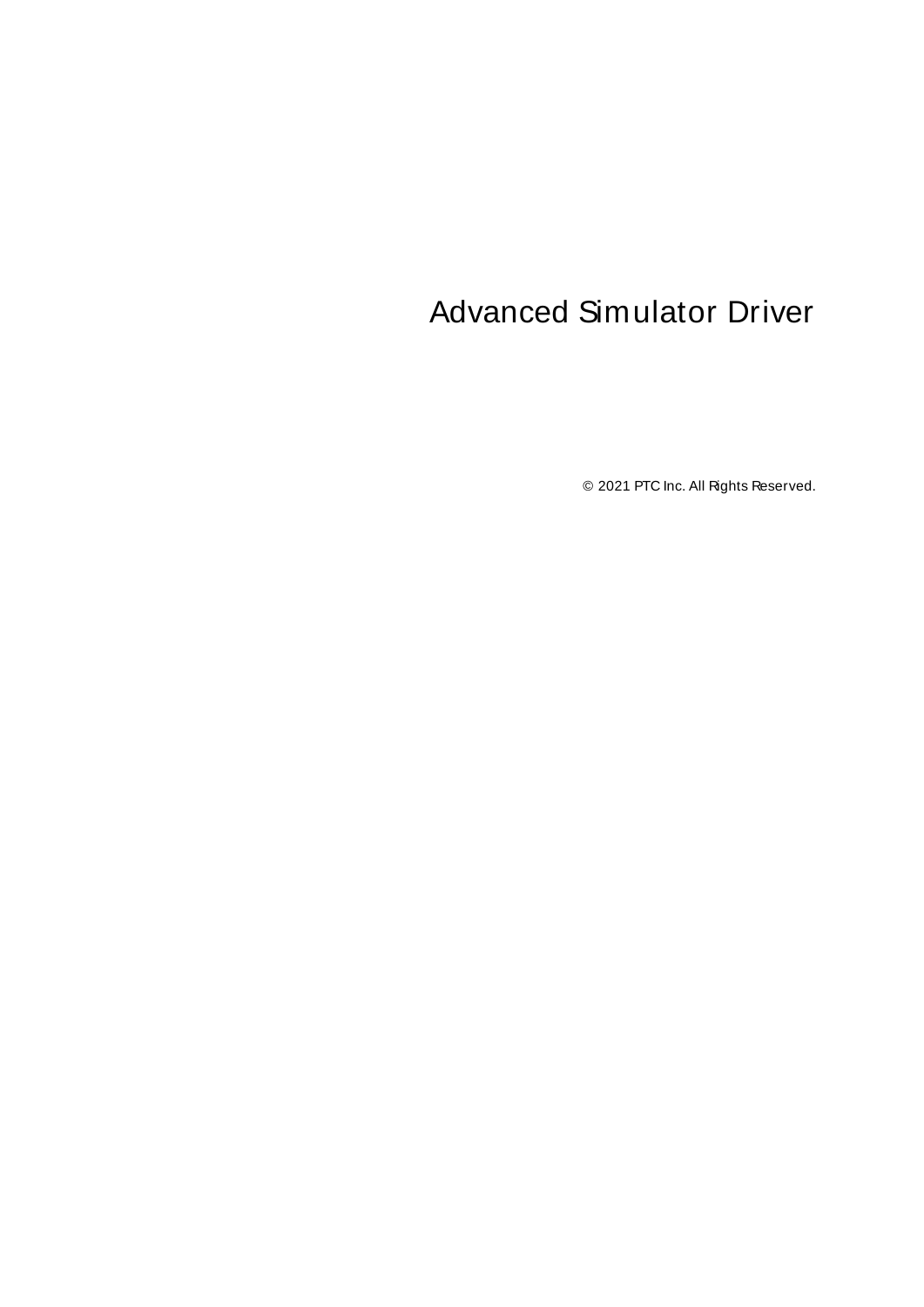# <span id="page-0-0"></span>Advanced Simulator Driver

© 2021 PTC Inc. All Rights Reserved.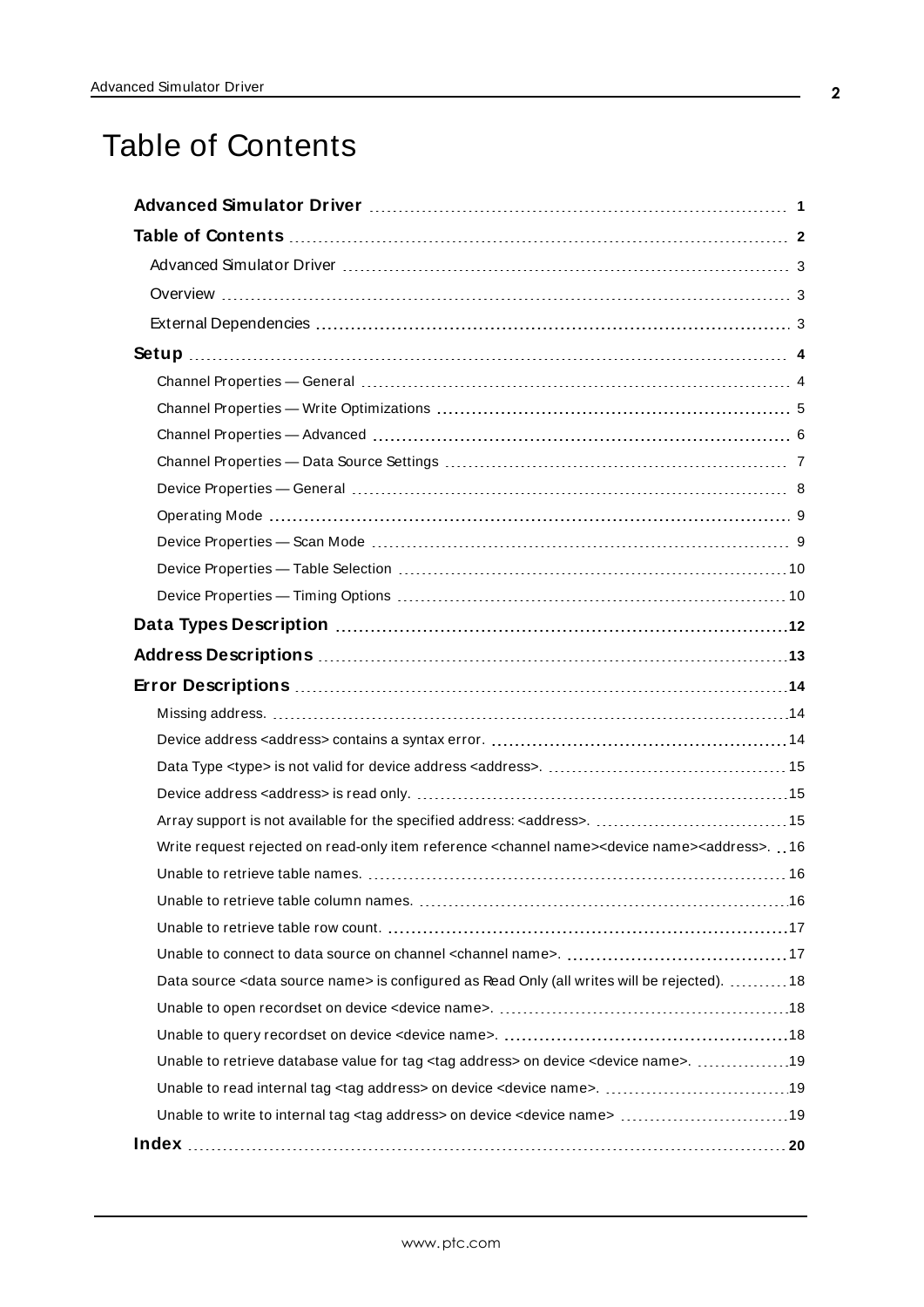# <span id="page-1-0"></span>Table of Contents

| Write request rejected on read-only item reference <channel name=""><device name=""><address>16</address></device></channel> |
|------------------------------------------------------------------------------------------------------------------------------|
|                                                                                                                              |
|                                                                                                                              |
|                                                                                                                              |
|                                                                                                                              |
| Data source <data name="" source=""> is configured as Read Only (all writes will be rejected).  18</data>                    |
|                                                                                                                              |
|                                                                                                                              |
| Unable to retrieve database value for tag <tag address=""> on device <device name="">.  19</device></tag>                    |
|                                                                                                                              |
| Unable to write to internal tag <tag address=""> on device <device name=""> 19</device></tag>                                |
|                                                                                                                              |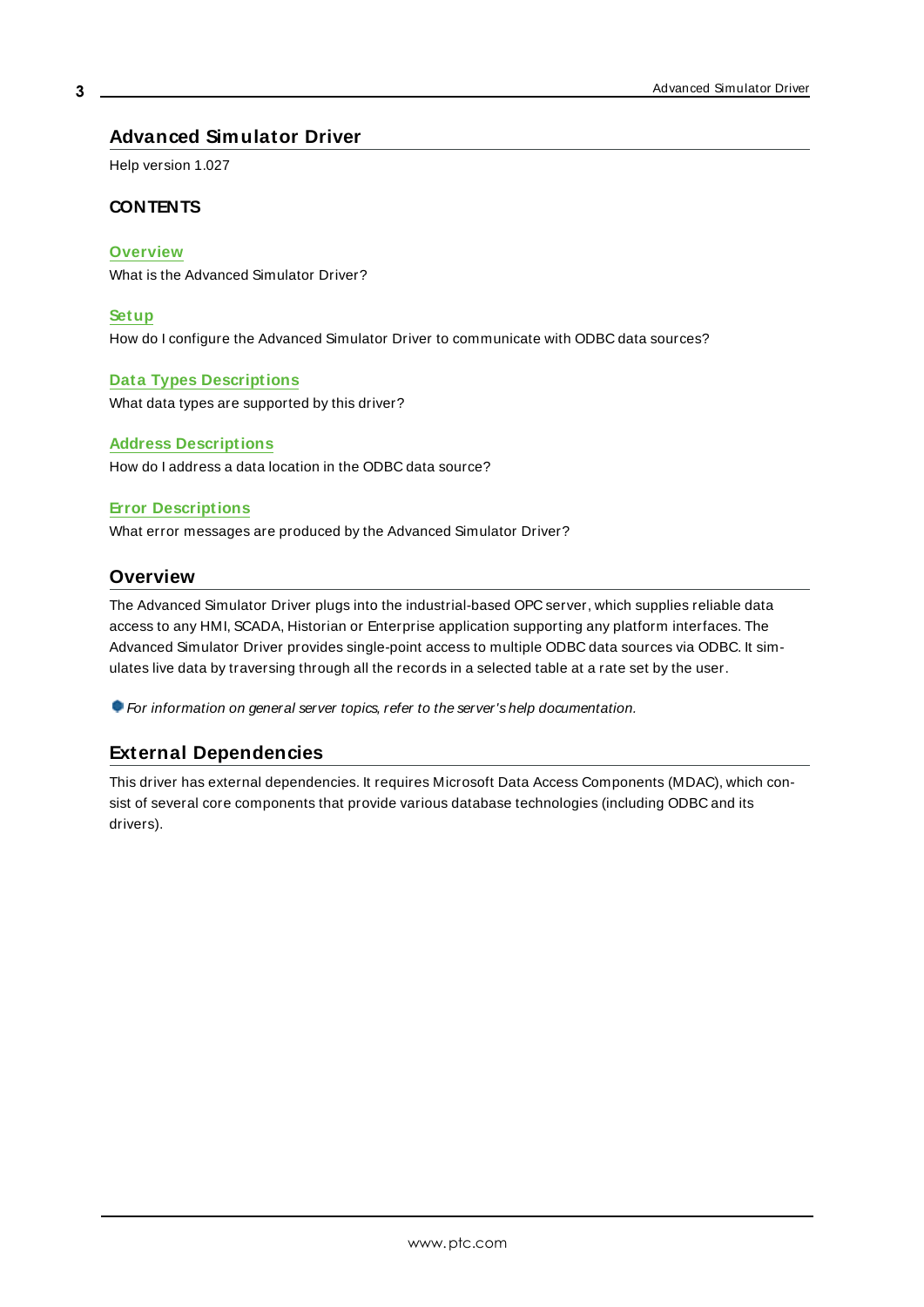## <span id="page-2-0"></span>**Advanced Simulator Driver**

Help version 1.027

## **CONTENTS**

#### **[Overview](#page-2-1)**

What is the Advanced Simulator Driver?

#### **[Setup](#page-3-0)**

How do I configure the Advanced Simulator Driver to communicate with ODBC data sources?

#### **Data Types [Descriptions](#page-11-0)**

What data types are supported by this driver?

#### **Address [Descriptions](#page-12-0)**

How do I address a data location in the ODBC data source?

#### **Error [Descriptions](#page-13-0)**

<span id="page-2-1"></span>What error messages are produced by the Advanced Simulator Driver?

## **Overview**

The Advanced Simulator Driver plugs into the industrial-based OPC server, which supplies reliable data access to any HMI, SCADA, Historian or Enterprise application supporting any platform interfaces. The Advanced Simulator Driver provides single-point access to multiple ODBC data sources via ODBC. It simulates live data by traversing through all the records in a selected table at a rate set by the user.

<span id="page-2-2"></span>For information on general server topics, refer to the server's help documentation.

## <span id="page-2-3"></span>**External Dependencies**

This driver has external dependencies. It requires Microsoft Data Access Components (MDAC), which consist of several core components that provide various database technologies (including ODBC and its drivers).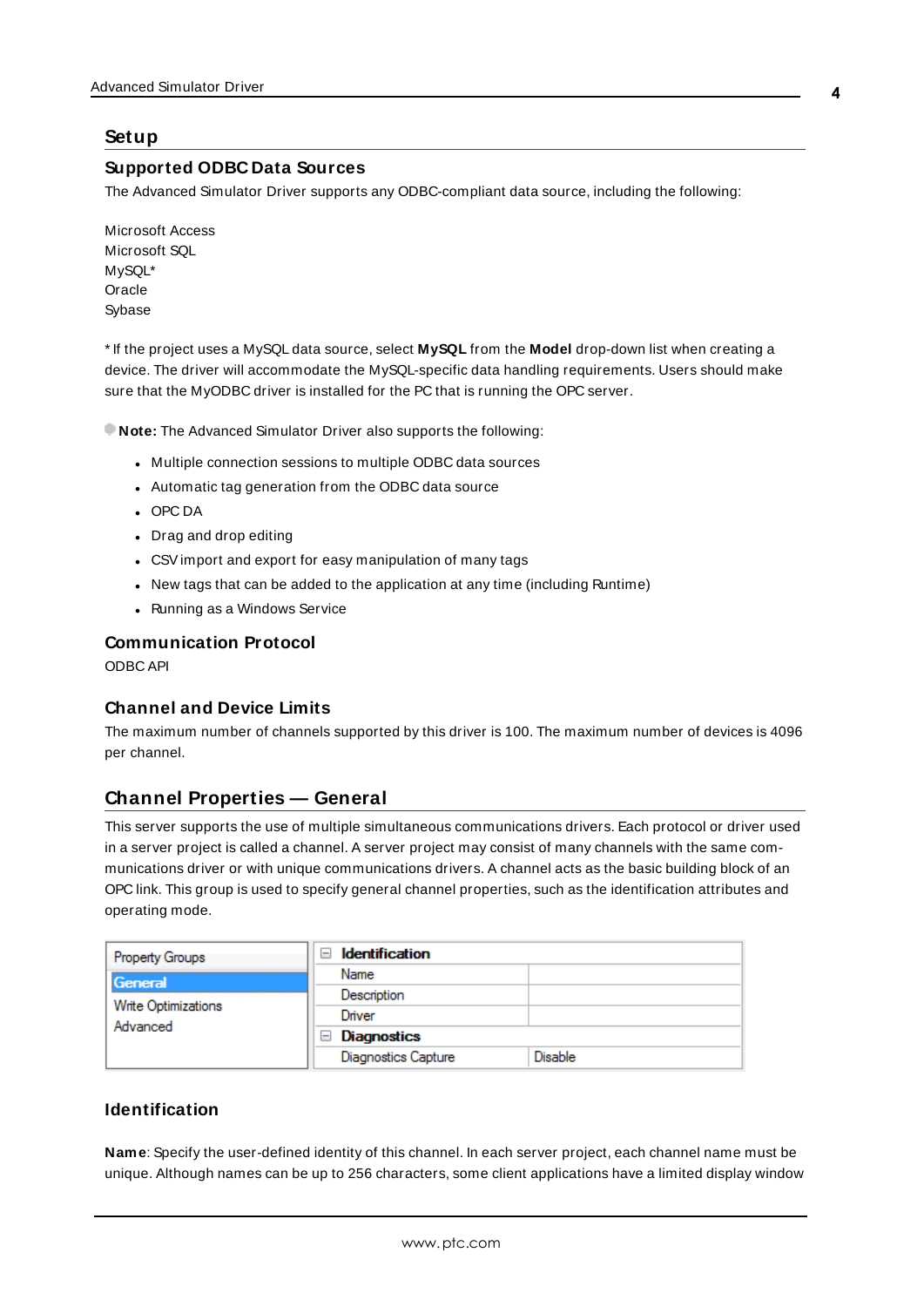## <span id="page-3-4"></span><span id="page-3-0"></span>**Setup**

#### **Supported ODBC Data Sources**

The Advanced Simulator Driver supports any ODBC-compliant data source, including the following:

Microsoft Access Microsoft SQL MySQL\* **Oracle** Sybase

\* If the project uses a MySQL data source, select **MySQL** from the **Model** drop-down list when creating a device. The driver will accommodate the MySQL-specific data handling requirements. Users should make sure that the MyODBC driver is installed for the PC that is running the OPC server.

**Note:** The Advanced Simulator Driver also supports the following:

- Multiple connection sessions to multiple ODBC data sources
- Automatic tag generation from the ODBC data source
- <sup>l</sup> OPC DA
- Drag and drop editing
- CSV import and export for easy manipulation of many tags
- New tags that can be added to the application at any time (including Runtime)
- Running as a Windows Service

#### <span id="page-3-3"></span><span id="page-3-2"></span>**Communication Protocol**

ODBC API

#### **Channel and Device Limits**

The maximum number of channels supported by this driver is 100. The maximum number of devices is 4096 per channel.

## <span id="page-3-1"></span>**Channel Properties — General**

This server supports the use of multiple simultaneous communications drivers. Each protocol or driver used in a server project is called a channel. A server project may consist of many channels with the same communications driver or with unique communications drivers. A channel acts as the basic building block of an OPC link. This group is used to specify general channel properties, such as the identification attributes and operating mode.

| <b>Property Groups</b>          | <b>Identification</b><br>$\equiv$ |                |
|---------------------------------|-----------------------------------|----------------|
| General                         | Name                              |                |
|                                 | Description                       |                |
| Write Optimizations<br>Advanced | Driver                            |                |
|                                 | <b>Diagnostics</b><br>$=$         |                |
|                                 | <b>Diagnostics Capture</b>        | <b>Disable</b> |

#### **Identification**

**Name**: Specify the user-defined identity of this channel. In each server project, each channel name must be unique. Although names can be up to 256 characters, some client applications have a limited display window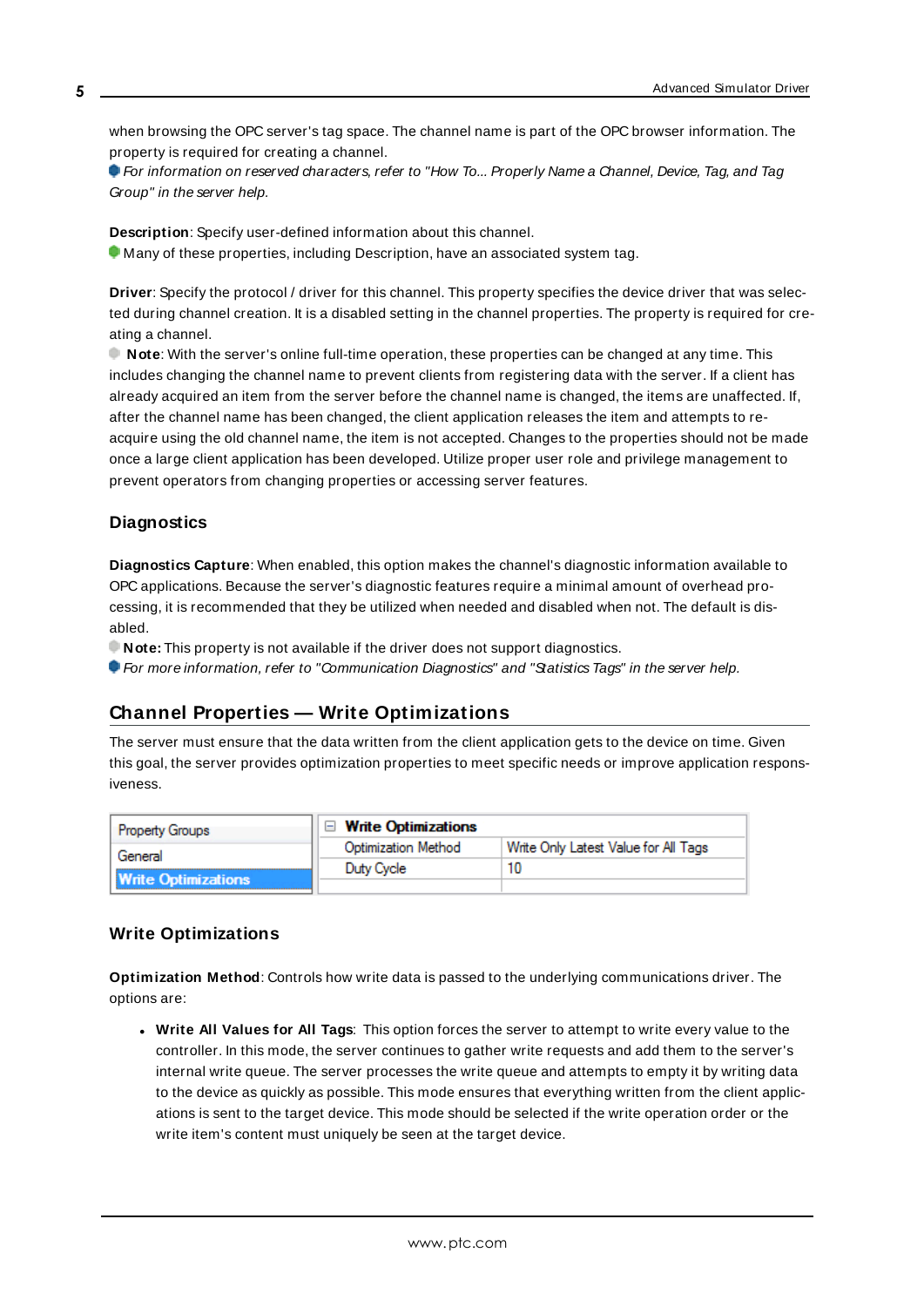when browsing the OPC server's tag space. The channel name is part of the OPC browser information. The property is required for creating a channel.

For information on reserved characters, refer to "How To... Properly Name a Channel, Device, Tag, and Tag Group" in the server help.

**Description**: Specify user-defined information about this channel.

Many of these properties, including Description, have an associated system tag.

**Driver**: Specify the protocol / driver for this channel. This property specifies the device driver that was selected during channel creation. It is a disabled setting in the channel properties. The property is required for creating a channel.

**Note**: With the server's online full-time operation, these properties can be changed at any time. This includes changing the channel name to prevent clients from registering data with the server. If a client has already acquired an item from the server before the channel name is changed, the items are unaffected. If, after the channel name has been changed, the client application releases the item and attempts to reacquire using the old channel name, the item is not accepted. Changes to the properties should not be made once a large client application has been developed. Utilize proper user role and privilege management to prevent operators from changing properties or accessing server features.

### **Diagnostics**

**Diagnostics Capture**: When enabled, this option makes the channel's diagnostic information available to OPC applications. Because the server's diagnostic features require a minimal amount of overhead processing, it is recommended that they be utilized when needed and disabled when not. The default is disabled.

**Note:** This property is not available if the driver does not support diagnostics.

<span id="page-4-0"></span>For more information, refer to "Communication Diagnostics" and "Statistics Tags" in the server help.

## **Channel Properties — Write Optimizations**

The server must ensure that the data written from the client application gets to the device on time. Given this goal, the server provides optimization properties to meet specific needs or improve application responsiveness.

| <b>Property Groups</b>     | □ Write Optimizations |                                      |
|----------------------------|-----------------------|--------------------------------------|
| General                    | Optimization Method   | Write Only Latest Value for All Tags |
|                            | Duty Cycle            |                                      |
| <b>Write Optimizations</b> |                       |                                      |

#### **Write Optimizations**

**Optimization Method**: Controls how write data is passed to the underlying communications driver. The options are:

<sup>l</sup> **Write All Values for All Tags**: This option forces the server to attempt to write every value to the controller. In this mode, the server continues to gather write requests and add them to the server's internal write queue. The server processes the write queue and attempts to empty it by writing data to the device as quickly as possible. This mode ensures that everything written from the client applications is sent to the target device. This mode should be selected if the write operation order or the write item's content must uniquely be seen at the target device.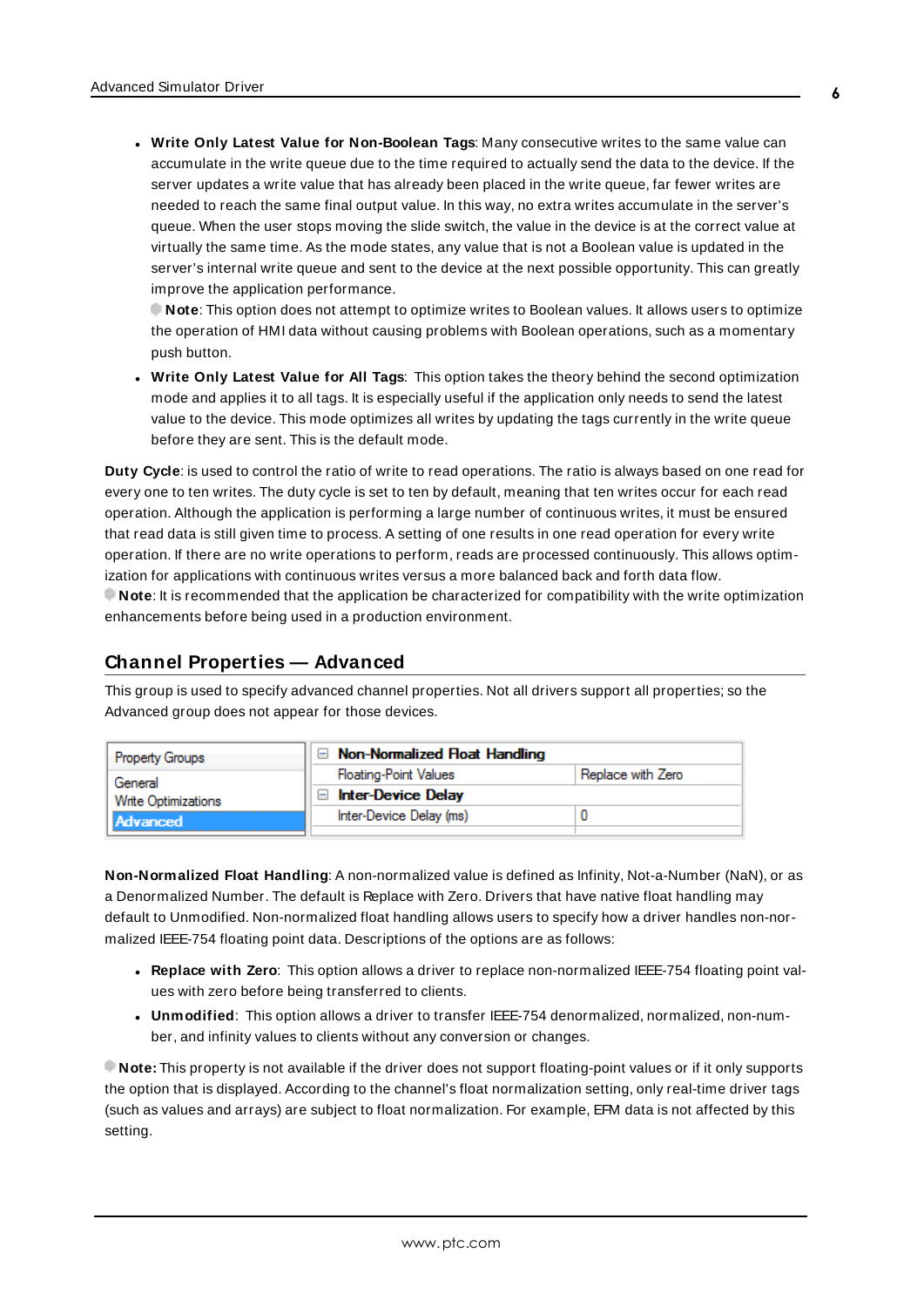<sup>l</sup> **Write Only Latest Value for Non-Boolean Tags**: Many consecutive writes to the same value can accumulate in the write queue due to the time required to actually send the data to the device. If the server updates a write value that has already been placed in the write queue, far fewer writes are needed to reach the same final output value. In this way, no extra writes accumulate in the server's queue. When the user stops moving the slide switch, the value in the device is at the correct value at virtually the same time. As the mode states, any value that is not a Boolean value is updated in the server's internal write queue and sent to the device at the next possible opportunity. This can greatly improve the application performance.

**Note**: This option does not attempt to optimize writes to Boolean values. It allows users to optimize the operation of HMI data without causing problems with Boolean operations, such as a momentary push button.

**• Write Only Latest Value for All Tags**: This option takes the theory behind the second optimization mode and applies it to all tags. It is especially useful if the application only needs to send the latest value to the device. This mode optimizes all writes by updating the tags currently in the write queue before they are sent. This is the default mode.

**Duty Cycle**: is used to control the ratio of write to read operations. The ratio is always based on one read for every one to ten writes. The duty cycle is set to ten by default, meaning that ten writes occur for each read operation. Although the application is performing a large number of continuous writes, it must be ensured that read data is still given time to process. A setting of one results in one read operation for every write operation. If there are no write operations to perform, reads are processed continuously. This allows optimization for applications with continuous writes versus a more balanced back and forth data flow. **Note**: It is recommended that the application be characterized for compatibility with the write optimization enhancements before being used in a production environment.

## <span id="page-5-0"></span>**Channel Properties — Advanced**

This group is used to specify advanced channel properties. Not all drivers support all properties; so the Advanced group does not appear for those devices.



**Non-Normalized Float Handling**: A non-normalized value is defined as Infinity, Not-a-Number (NaN), or as a Denormalized Number. The default is Replace with Zero. Drivers that have native float handling may default to Unmodified. Non-normalized float handling allows users to specify how a driver handles non-normalized IEEE-754 floating point data. Descriptions of the options are as follows:

- <sup>l</sup> **Replace with Zero**: This option allows a driver to replace non-normalized IEEE-754 floating point values with zero before being transferred to clients.
- <sup>l</sup> **Unmodified**: This option allows a driver to transfer IEEE-754 denormalized, normalized, non-number, and infinity values to clients without any conversion or changes.

**Note:** This property is not available if the driver does not support floating-point values or if it only supports the option that is displayed. According to the channel's float normalization setting, only real-time driver tags (such as values and arrays) are subject to float normalization. For example, EFM data is not affected by this setting.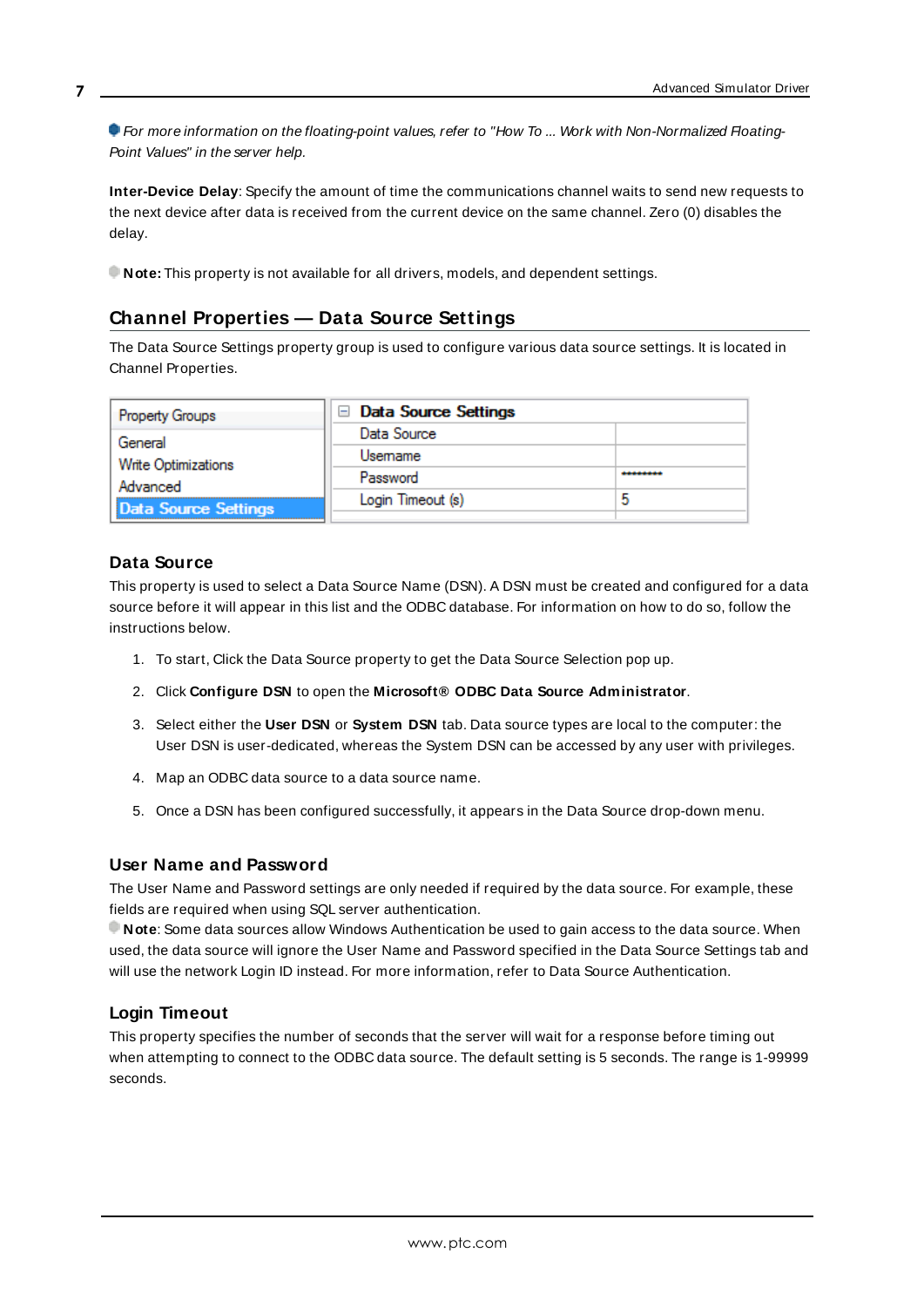For more information on the floating-point values, refer to "How To ... Work with Non-Normalized Floating-Point Values" in the server help.

**Inter-Device Delay**: Specify the amount of time the communications channel waits to send new requests to the next device after data is received from the current device on the same channel. Zero (0) disables the delay.

<span id="page-6-0"></span>**Note:** This property is not available for all drivers, models, and dependent settings.

## **Channel Properties — Data Source Settings**

The Data Source Settings property group is used to configure various data source settings. It is located in Channel Properties.

| <b>Property Groups</b> | $\Box$ Data Source Settings |   |
|------------------------|-----------------------------|---|
| General                | Data Source                 |   |
| Write Optimizations    | Usemame                     |   |
| Advanced               | Password                    |   |
| Data Source Settings   | Login Timeout (s)           | ь |
|                        |                             |   |

## **Data Source**

**7**

This property is used to select a Data Source Name (DSN). A DSN must be created and configured for a data source before it will appear in this list and the ODBC database. For information on how to do so, follow the instructions below.

- 1. To start, Click the Data Source property to get the Data Source Selection pop up.
- 2. Click **Configure DSN** to open the **Microsoft® ODBC Data Source Administrator**.
- 3. Select either the **User DSN** or **System DSN** tab. Data source types are local to the computer: the User DSN is user-dedicated, whereas the System DSN can be accessed by any user with privileges.
- 4. Map an ODBC data source to a data source name.
- 5. Once a DSN has been configured successfully, it appears in the Data Source drop-down menu.

#### **User Name and Password**

The User Name and Password settings are only needed if required by the data source. For example, these fields are required when using SQL server authentication.

**Note**: Some data sources allow Windows Authentication be used to gain access to the data source. When used, the data source will ignore the User Name and Password specified in the Data Source Settings tab and will use the network Login ID instead. For more information, refer to Data Source Authentication.

## **Login Timeout**

This property specifies the number of seconds that the server will wait for a response before timing out when attempting to connect to the ODBC data source. The default setting is 5 seconds. The range is 1-99999 seconds.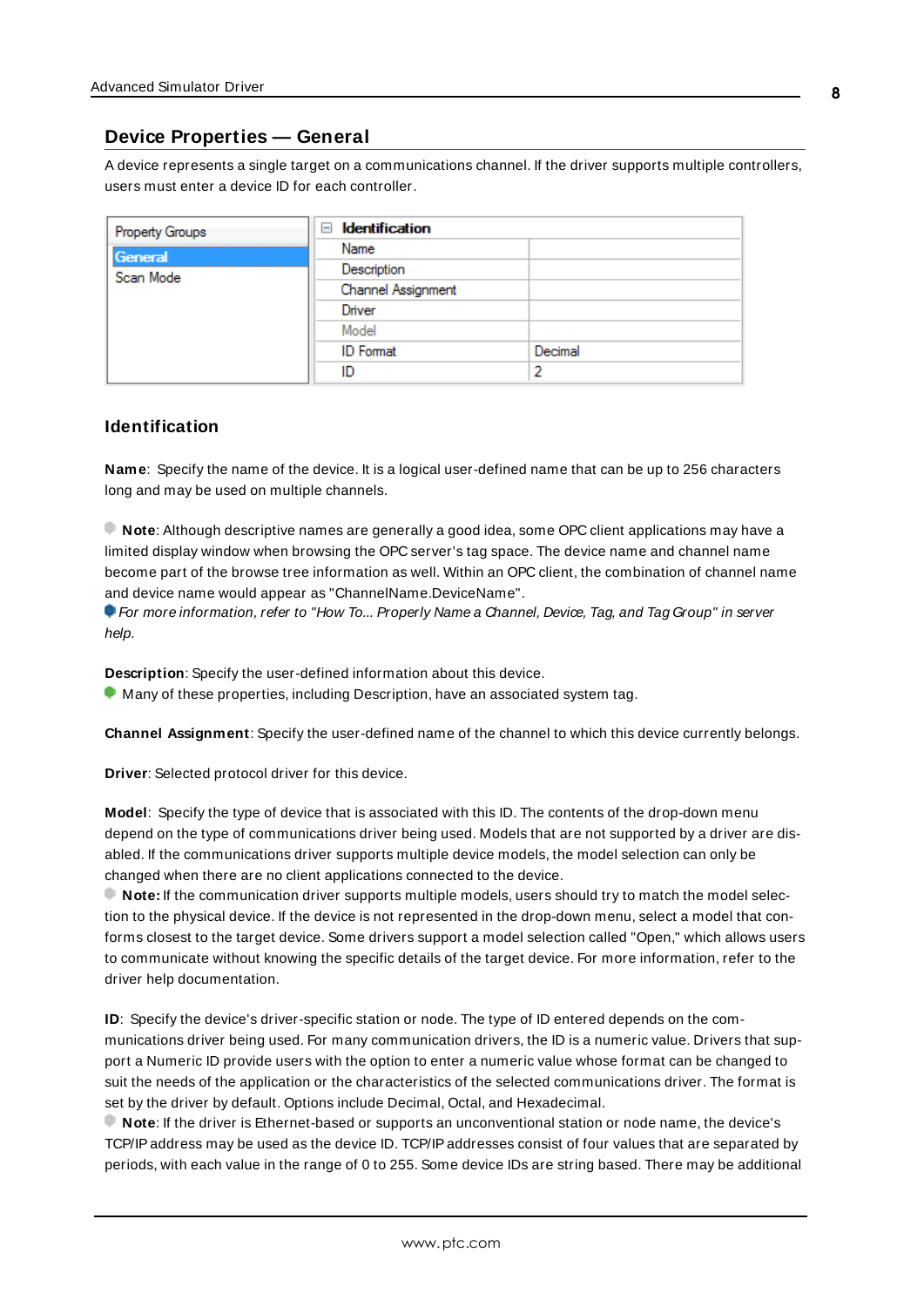## <span id="page-7-0"></span>**Device Properties — General**

A device represents a single target on a communications channel. If the driver supports multiple controllers, users must enter a device ID for each controller.

| <b>Property Groups</b> | <b>Identification</b><br>- |         |
|------------------------|----------------------------|---------|
| General                | Name                       |         |
| Scan Mode              | Description                |         |
|                        | Channel Assignment         |         |
|                        | Driver                     |         |
|                        | Model                      |         |
|                        | <b>ID</b> Format           | Decimal |
|                        | ID                         |         |

#### <span id="page-7-5"></span>**Identification**

**Name**: Specify the name of the device. It is a logical user-defined name that can be up to 256 characters long and may be used on multiple channels.

**Note**: Although descriptive names are generally a good idea, some OPC client applications may have a limited display window when browsing the OPC server's tag space. The device name and channel name become part of the browse tree information as well. Within an OPC client, the combination of channel name and device name would appear as "ChannelName.DeviceName".

For more information, refer to "How To... Properly Name a Channel, Device, Tag, and Tag Group" in server help.

**Description**: Specify the user-defined information about this device.

<span id="page-7-1"></span>**Many of these properties, including Description, have an associated system tag.** 

<span id="page-7-2"></span>**Channel Assignment**: Specify the user-defined name of the channel to which this device currently belongs.

<span id="page-7-4"></span>**Driver**: Selected protocol driver for this device.

**Model**: Specify the type of device that is associated with this ID. The contents of the drop-down menu depend on the type of communications driver being used. Models that are not supported by a driver are disabled. If the communications driver supports multiple device models, the model selection can only be changed when there are no client applications connected to the device.

**Note:** If the communication driver supports multiple models, users should try to match the model selection to the physical device. If the device is not represented in the drop-down menu, select a model that conforms closest to the target device. Some drivers support a model selection called "Open," which allows users to communicate without knowing the specific details of the target device. For more information, refer to the driver help documentation.

<span id="page-7-3"></span>**ID**: Specify the device's driver-specific station or node. The type of ID entered depends on the communications driver being used. For many communication drivers, the ID is a numeric value. Drivers that support a Numeric ID provide users with the option to enter a numeric value whose format can be changed to suit the needs of the application or the characteristics of the selected communications driver. The format is set by the driver by default. Options include Decimal, Octal, and Hexadecimal.

**Note**: If the driver is Ethernet-based or supports an unconventional station or node name, the device's TCP/IPaddress may be used as the device ID. TCP/IPaddresses consist of four values that are separated by periods, with each value in the range of 0 to 255. Some device IDs are string based. There may be additional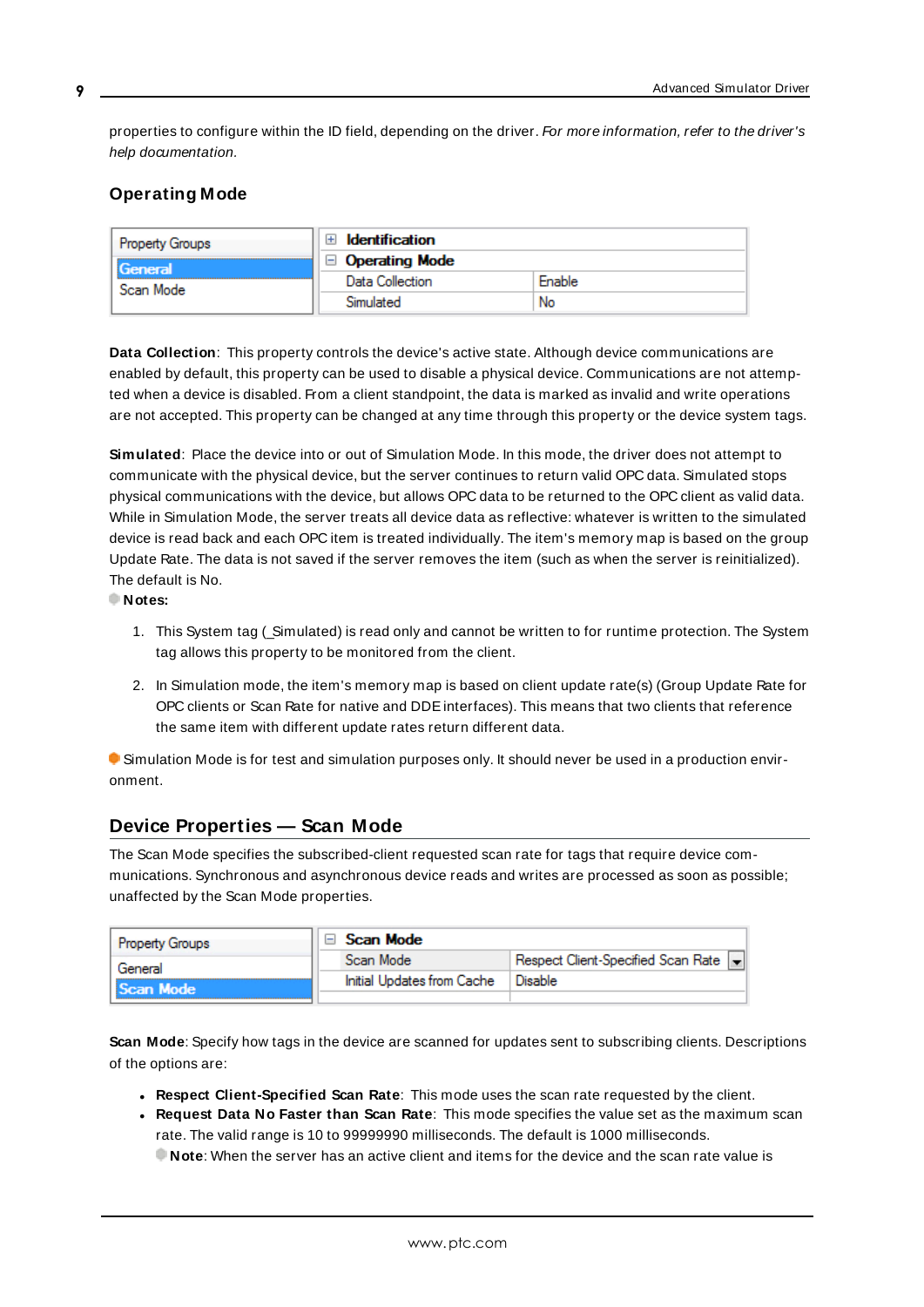properties to configure within the ID field, depending on the driver. For more information, refer to the driver's help documentation.

## <span id="page-8-0"></span>**Operating Mode**

| <b>Property Groups</b> | Identification        |        |
|------------------------|-----------------------|--------|
| General<br>Scan Mode   | $\Box$ Operating Mode |        |
|                        | Data Collection       | Enable |
|                        | Simulated             | No     |

<span id="page-8-2"></span>**Data Collection**: This property controls the device's active state. Although device communications are enabled by default, this property can be used to disable a physical device. Communications are not attempted when a device is disabled. From a client standpoint, the data is marked as invalid and write operations are not accepted. This property can be changed at any time through this property or the device system tags.

<span id="page-8-4"></span>**Simulated**: Place the device into or out of Simulation Mode. In this mode, the driver does not attempt to communicate with the physical device, but the server continues to return valid OPC data. Simulated stops physical communications with the device, but allows OPC data to be returned to the OPC client as valid data. While in Simulation Mode, the server treats all device data as reflective: whatever is written to the simulated device is read back and each OPC item is treated individually. The item's memory map is based on the group Update Rate. The data is not saved if the server removes the item (such as when the server is reinitialized). The default is No.

**Notes:**

- 1. This System tag (Simulated) is read only and cannot be written to for runtime protection. The System tag allows this property to be monitored from the client.
- 2. In Simulation mode, the item's memory map is based on client update rate(s) (Group Update Rate for OPC clients or Scan Rate for native and DDEinterfaces). This means that two clients that reference the same item with different update rates return different data.

 Simulation Mode is for test and simulation purposes only. It should never be used in a production environment.

## <span id="page-8-1"></span>**Device Properties — Scan Mode**

The Scan Mode specifies the subscribed-client requested scan rate for tags that require device communications. Synchronous and asynchronous device reads and writes are processed as soon as possible; unaffected by the Scan Mode properties.

| <b>Property Groups</b> | Scan Mode                  |                                      |
|------------------------|----------------------------|--------------------------------------|
| General                | Scan Mode                  | Respect Client-Specified Scan Rate v |
| Scan Mode              | Initial Updates from Cache | Disable                              |
|                        |                            |                                      |

<span id="page-8-3"></span>**Scan Mode**: Specify how tags in the device are scanned for updates sent to subscribing clients. Descriptions of the options are:

- <sup>l</sup> **Respect Client-Specified Scan Rate**: This mode uses the scan rate requested by the client.
- <sup>l</sup> **Request Data No Faster than Scan Rate**: This mode specifies the value set as the maximum scan rate. The valid range is 10 to 99999990 milliseconds. The default is 1000 milliseconds.

**Note**: When the server has an active client and items for the device and the scan rate value is

**9**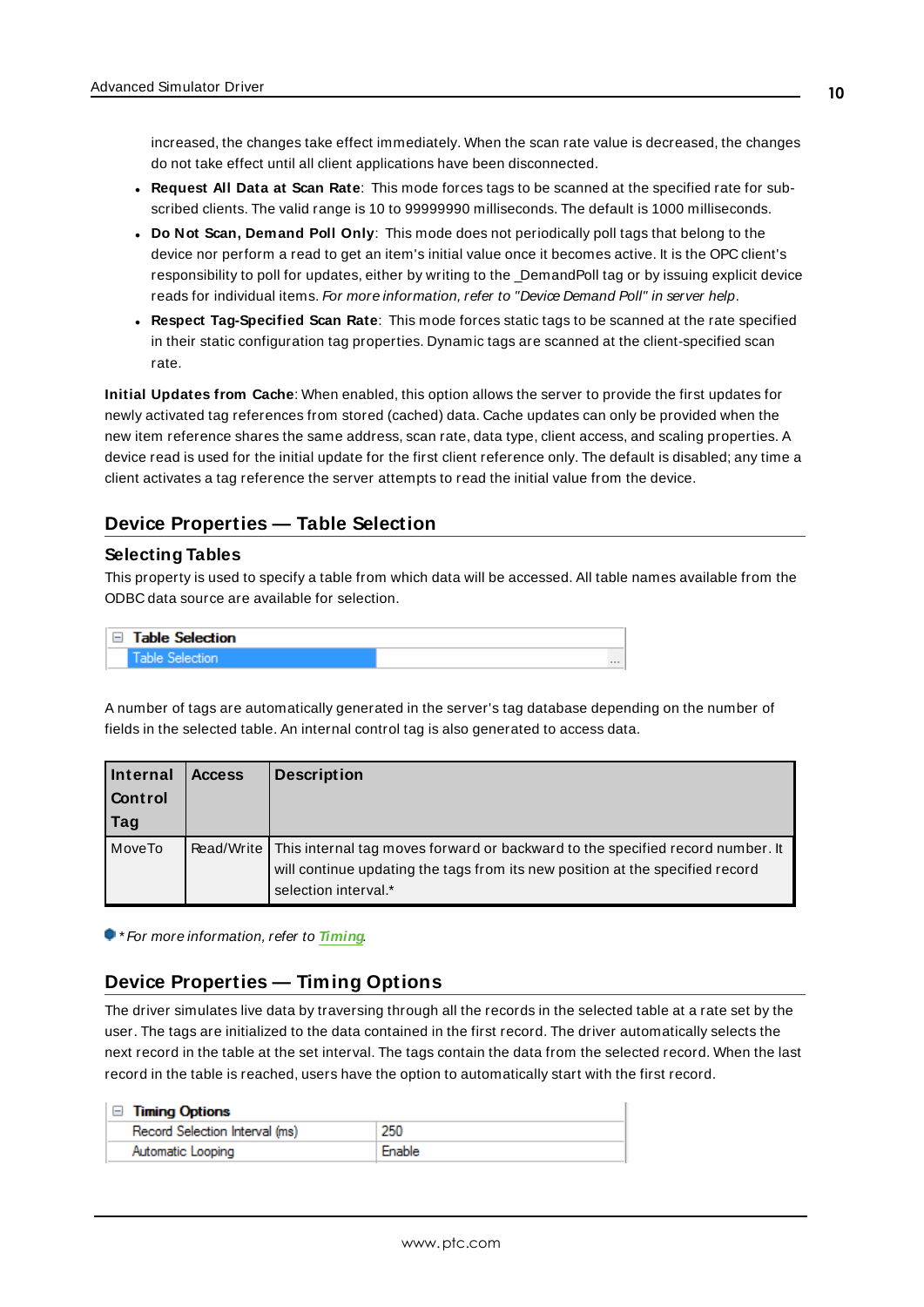increased, the changes take effect immediately. When the scan rate value is decreased, the changes do not take effect until all client applications have been disconnected.

- <span id="page-9-2"></span><sup>l</sup> **Request All Data at Scan Rate**: This mode forces tags to be scanned at the specified rate for subscribed clients. The valid range is 10 to 99999990 milliseconds. The default is 1000 milliseconds.
- <sup>l</sup> **Do Not Scan, Demand Poll Only**: This mode does not periodically poll tags that belong to the device nor perform a read to get an item's initial value once it becomes active. It is the OPC client's responsibility to poll for updates, either by writing to the \_DemandPoll tag or by issuing explicit device reads for individual items. For more information, refer to "Device Demand Poll" in server help.
- <span id="page-9-4"></span><sup>l</sup> **Respect Tag-Specified Scan Rate**: This mode forces static tags to be scanned at the rate specified in their static configuration tag properties. Dynamic tags are scanned at the client-specified scan rate.

<span id="page-9-3"></span>**Initial Updates from Cache**: When enabled, this option allows the server to provide the first updates for newly activated tag references from stored (cached) data. Cache updates can only be provided when the new item reference shares the same address, scan rate, data type, client access, and scaling properties. A device read is used for the initial update for the first client reference only. The default is disabled; any time a client activates a tag reference the server attempts to read the initial value from the device.

## <span id="page-9-0"></span>**Device Properties — Table Selection**

#### **Selecting Tables**

This property is used to specify a table from which data will be accessed. All table names available from the ODBC data source are available for selection.

| □ Table Selection |          |
|-------------------|----------|
|                   | $\cdots$ |

A number of tags are automatically generated in the server's tag database depending on the number of fields in the selected table. An internal control tag is also generated to access data.

| Internal<br><b>Control</b><br>Tag | <b>Access</b> | <b>Description</b>                                                                                                                                                                                   |
|-----------------------------------|---------------|------------------------------------------------------------------------------------------------------------------------------------------------------------------------------------------------------|
| MoveTo                            |               | Read/Write   This internal tag moves forward or backward to the specified record number. It<br>will continue updating the tags from its new position at the specified record<br>selection interval.* |

<span id="page-9-1"></span>\* For more information, refer to **[Timing](#page-9-1)**.

## **Device Properties — Timing Options**

The driver simulates live data by traversing through all the records in the selected table at a rate set by the user. The tags are initialized to the data contained in the first record. The driver automatically selects the next record in the table at the set interval. The tags contain the data from the selected record. When the last record in the table is reached, users have the option to automatically start with the first record.

|  |  | <b>Timing Options</b> |
|--|--|-----------------------|
|--|--|-----------------------|

| Record Selection Interval (ms) | 250    |
|--------------------------------|--------|
| Automatic Looping              | Enable |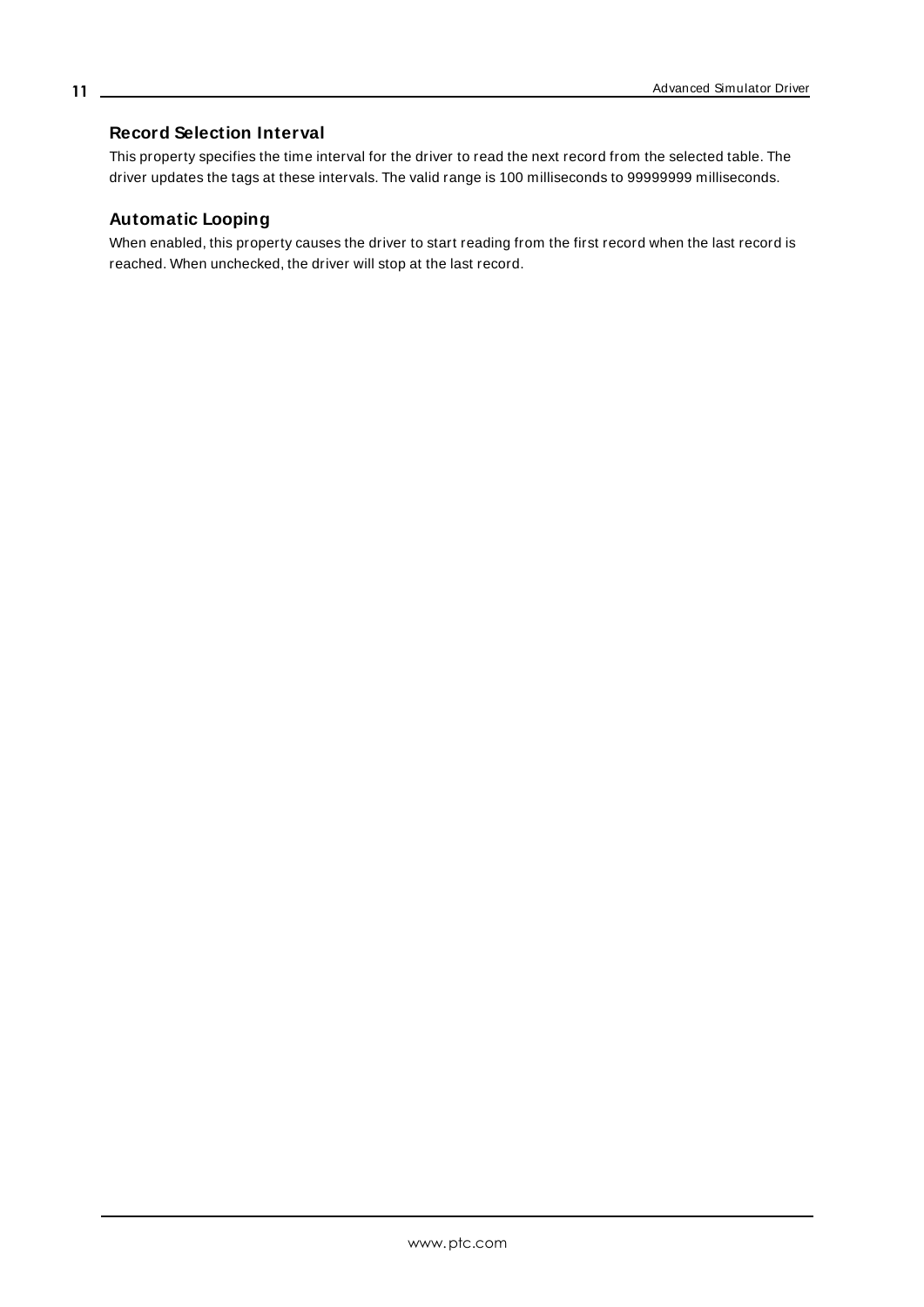## <span id="page-10-0"></span>**Record Selection Interval**

This property specifies the time interval for the driver to read the next record from the selected table. The driver updates the tags at these intervals. The valid range is 100 milliseconds to 99999999 milliseconds.

## **Automatic Looping**

When enabled, this property causes the driver to start reading from the first record when the last record is reached. When unchecked, the driver will stop at the last record.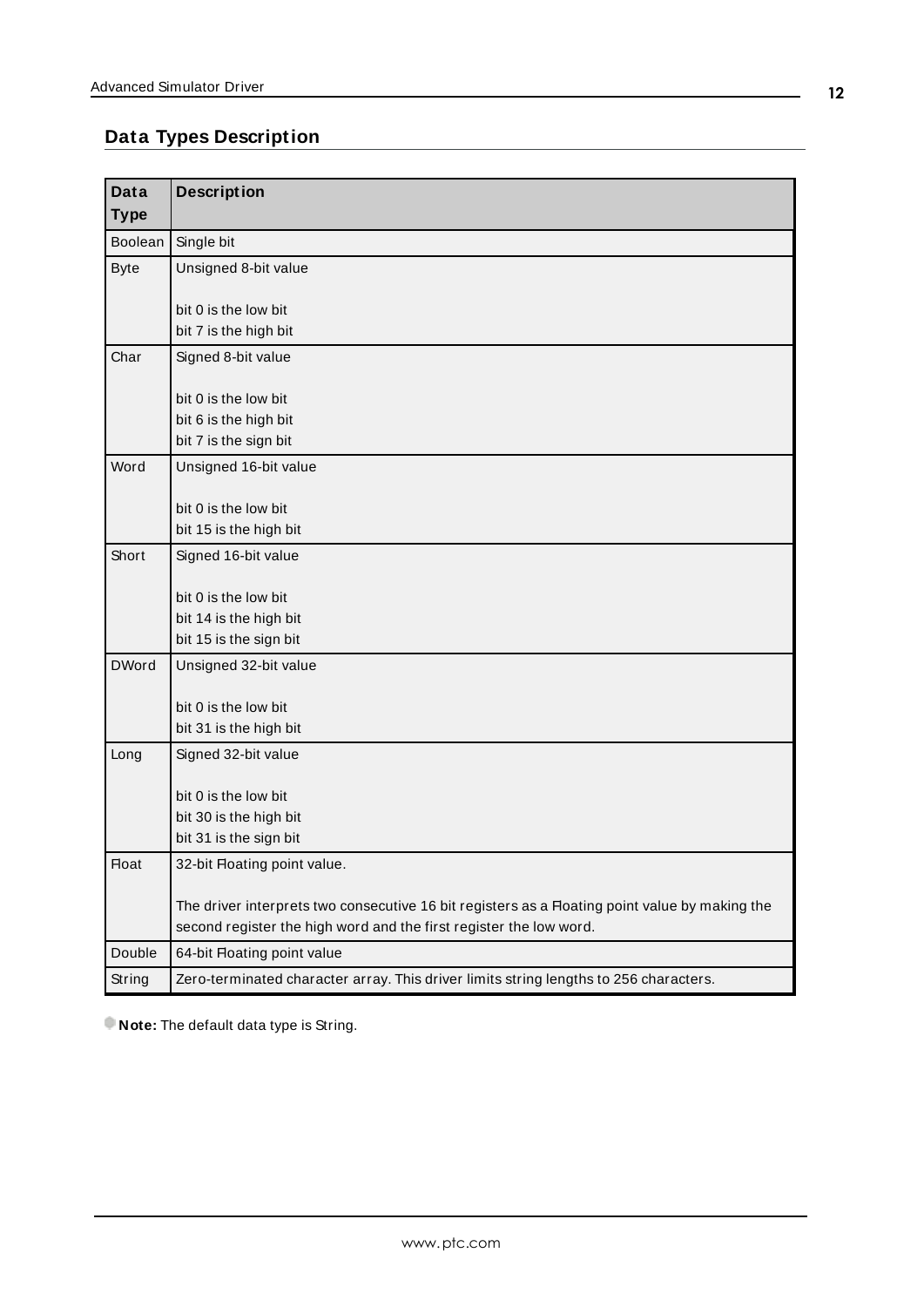# <span id="page-11-0"></span>**Data Types Description**

| <b>Data</b>    | <b>Description</b>                                                                                                                                                   |
|----------------|----------------------------------------------------------------------------------------------------------------------------------------------------------------------|
| <b>Type</b>    |                                                                                                                                                                      |
| <b>Boolean</b> | Single bit                                                                                                                                                           |
| <b>Byte</b>    | Unsigned 8-bit value                                                                                                                                                 |
|                |                                                                                                                                                                      |
|                | bit 0 is the low bit<br>bit 7 is the high bit                                                                                                                        |
| Char           | Signed 8-bit value                                                                                                                                                   |
|                |                                                                                                                                                                      |
|                | bit 0 is the low bit                                                                                                                                                 |
|                | bit 6 is the high bit                                                                                                                                                |
|                | bit 7 is the sign bit                                                                                                                                                |
| Word           | Unsigned 16-bit value                                                                                                                                                |
|                |                                                                                                                                                                      |
|                | bit 0 is the low bit<br>bit 15 is the high bit                                                                                                                       |
| Short          | Signed 16-bit value                                                                                                                                                  |
|                |                                                                                                                                                                      |
|                | bit 0 is the low bit                                                                                                                                                 |
|                | bit 14 is the high bit                                                                                                                                               |
|                | bit 15 is the sign bit                                                                                                                                               |
| <b>DWord</b>   | Unsigned 32-bit value                                                                                                                                                |
|                | bit 0 is the low bit                                                                                                                                                 |
|                | bit 31 is the high bit                                                                                                                                               |
| Long           | Signed 32-bit value                                                                                                                                                  |
|                |                                                                                                                                                                      |
|                | bit 0 is the low bit                                                                                                                                                 |
|                | bit 30 is the high bit                                                                                                                                               |
|                | bit 31 is the sign bit                                                                                                                                               |
| <b>Float</b>   | 32-bit Floating point value.                                                                                                                                         |
|                |                                                                                                                                                                      |
|                | The driver interprets two consecutive 16 bit registers as a Floating point value by making the<br>second register the high word and the first register the low word. |
| Double         | 64-bit Floating point value                                                                                                                                          |
| String         | Zero-terminated character array. This driver limits string lengths to 256 characters.                                                                                |
|                |                                                                                                                                                                      |

<span id="page-11-2"></span><span id="page-11-1"></span>**Note:** The default data type is String.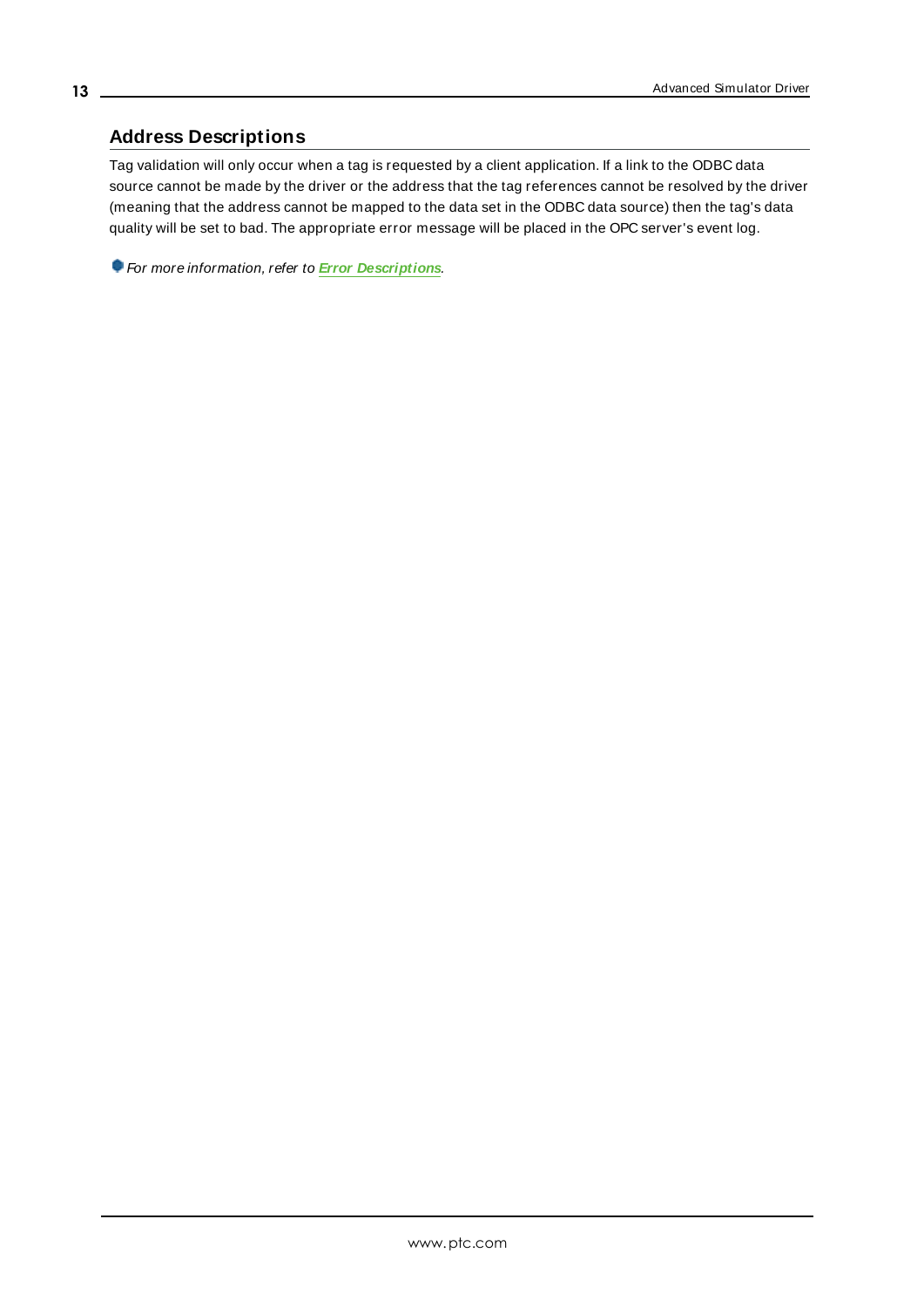## <span id="page-12-0"></span>**Address Descriptions**

Tag validation will only occur when a tag is requested by a client application. If a link to the ODBC data source cannot be made by the driver or the address that the tag references cannot be resolved by the driver (meaning that the address cannot be mapped to the data set in the ODBC data source) then the tag's data quality will be set to bad. The appropriate error message will be placed in the OPC server's event log.

For more information, refer to **Error [Descriptions](#page-13-0)**.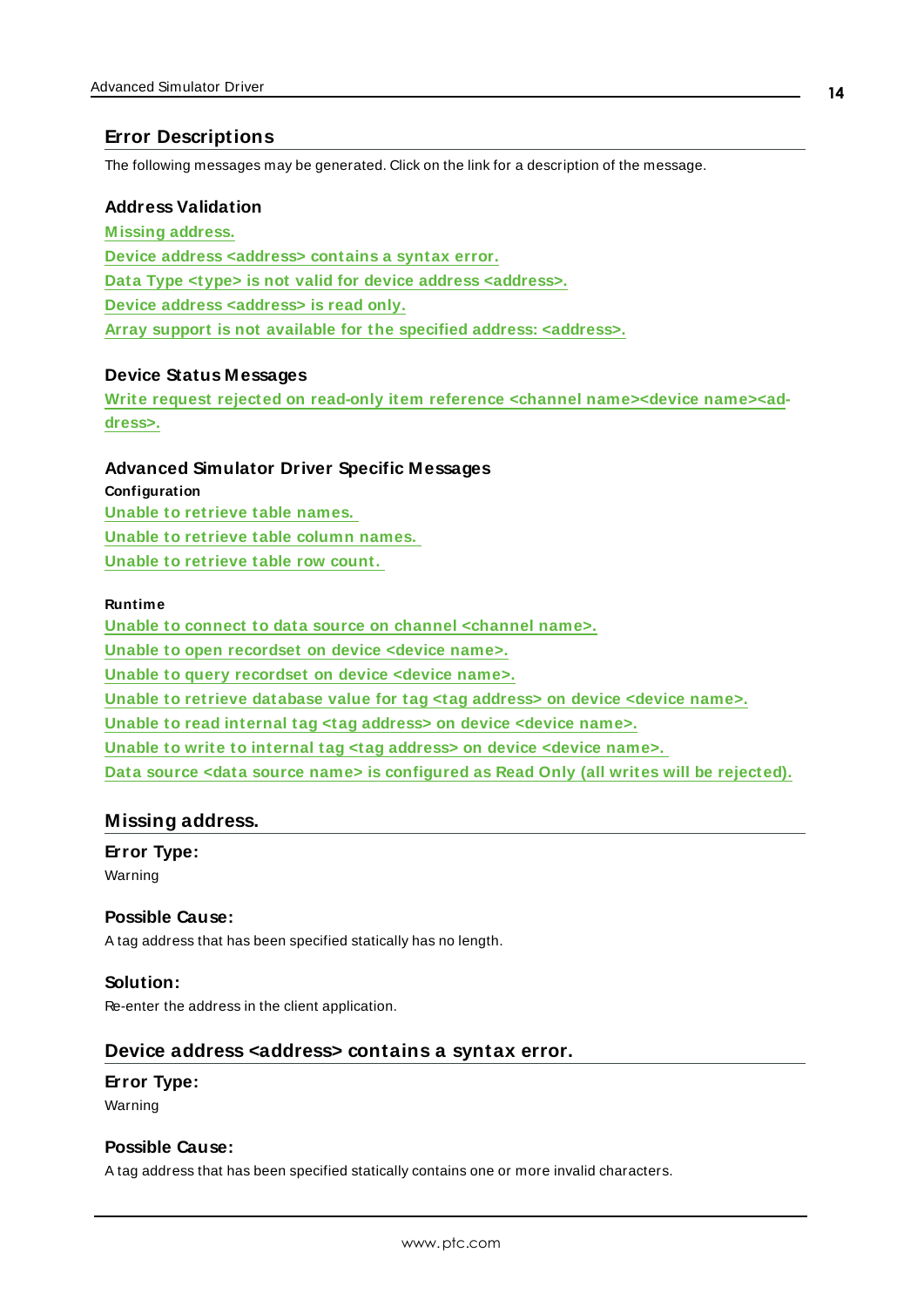## <span id="page-13-0"></span>**Error Descriptions**

<span id="page-13-3"></span>The following messages may be generated. Click on the link for a description of the message.

#### **Address Validation**

**[M issing](#page-13-1) address. Device address [<address>](#page-13-2) contains a syntax error. Data Type <type> is not valid for device address [<address>.](#page-14-0) Device address [<address>](#page-14-1) is read only. Array support is not available for the specified address: [<address>.](#page-14-2)**

#### <span id="page-13-5"></span>**Device Status Messages**

**Write request rejected on read-only item reference <channel [name><device](#page-15-0) name><ad[dress>.](#page-15-0)**

#### <span id="page-13-4"></span>**Advanced Simulator Driver Specific Messages**

**Configuration Unable to [retrieve](#page-15-1) table names. Unable to [retrieve](#page-15-2) table column names. Unable to [retrieve](#page-16-0) table row count.**

#### **Runtime**

**Unable to connect to data source on channel [<channel](#page-16-1) name>. Unable to open [recordset](#page-17-1) on device <device name>. Unable to query [recordset](#page-17-2) on device <device name>. Unable to retrieve [database](#page-18-0) value for tag <tag address> on device <device name>. Unable to read internal tag <tag [address>](#page-18-1) on device <device name>. Unable to write to internal tag <tag [address>](#page-18-2) on device <device name>. Data source <data source name> is [configured](#page-17-0) as Read Only (all writes will be rejected).**

## <span id="page-13-1"></span>**Missing address.**

**Error Type:** Warning

#### <span id="page-13-6"></span>**Possible Cause:**

A tag address that has been specified statically has no length.

#### **Solution:**

<span id="page-13-2"></span>Re-enter the address in the client application.

### **Device address <address> contains a syntax error.**

#### **Error Type:**

Warning

#### **Possible Cause:**

A tag address that has been specified statically contains one or more invalid characters.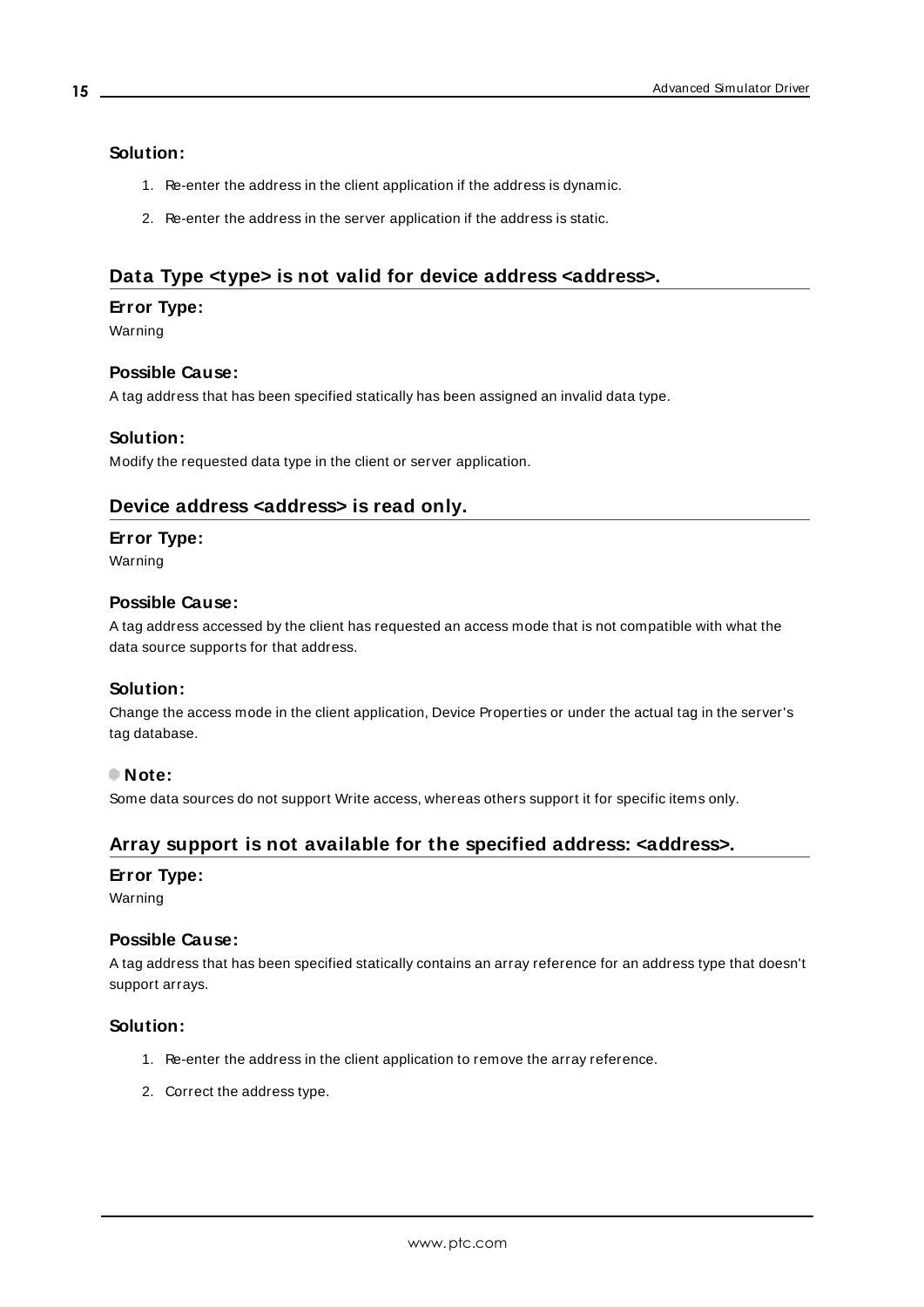#### **Solution:**

- 1. Re-enter the address in the client application if the address is dynamic.
- 2. Re-enter the address in the server application if the address is static.

## <span id="page-14-0"></span>**Data Type <type> is not valid for device address <address>.**

#### **Error Type:**

Warning

## **Possible Cause:**

A tag address that has been specified statically has been assigned an invalid data type.

#### **Solution:**

<span id="page-14-1"></span>Modify the requested data type in the client or server application.

## **Device address <address> is read only.**

#### **Error Type:**

Warning

#### **Possible Cause:**

A tag address accessed by the client has requested an access mode that is not compatible with what the data source supports for that address.

#### **Solution:**

Change the access mode in the client application, Device Properties or under the actual tag in the server's tag database.

#### **Note:**

<span id="page-14-2"></span>Some data sources do not support Write access, whereas others support it for specific items only.

#### **Array support is not available for the specified address: <address>.**

#### **Error Type:**

Warning

#### **Possible Cause:**

A tag address that has been specified statically contains an array reference for an address type that doesn't support arrays.

#### **Solution:**

- 1. Re-enter the address in the client application to remove the array reference.
- 2. Correct the address type.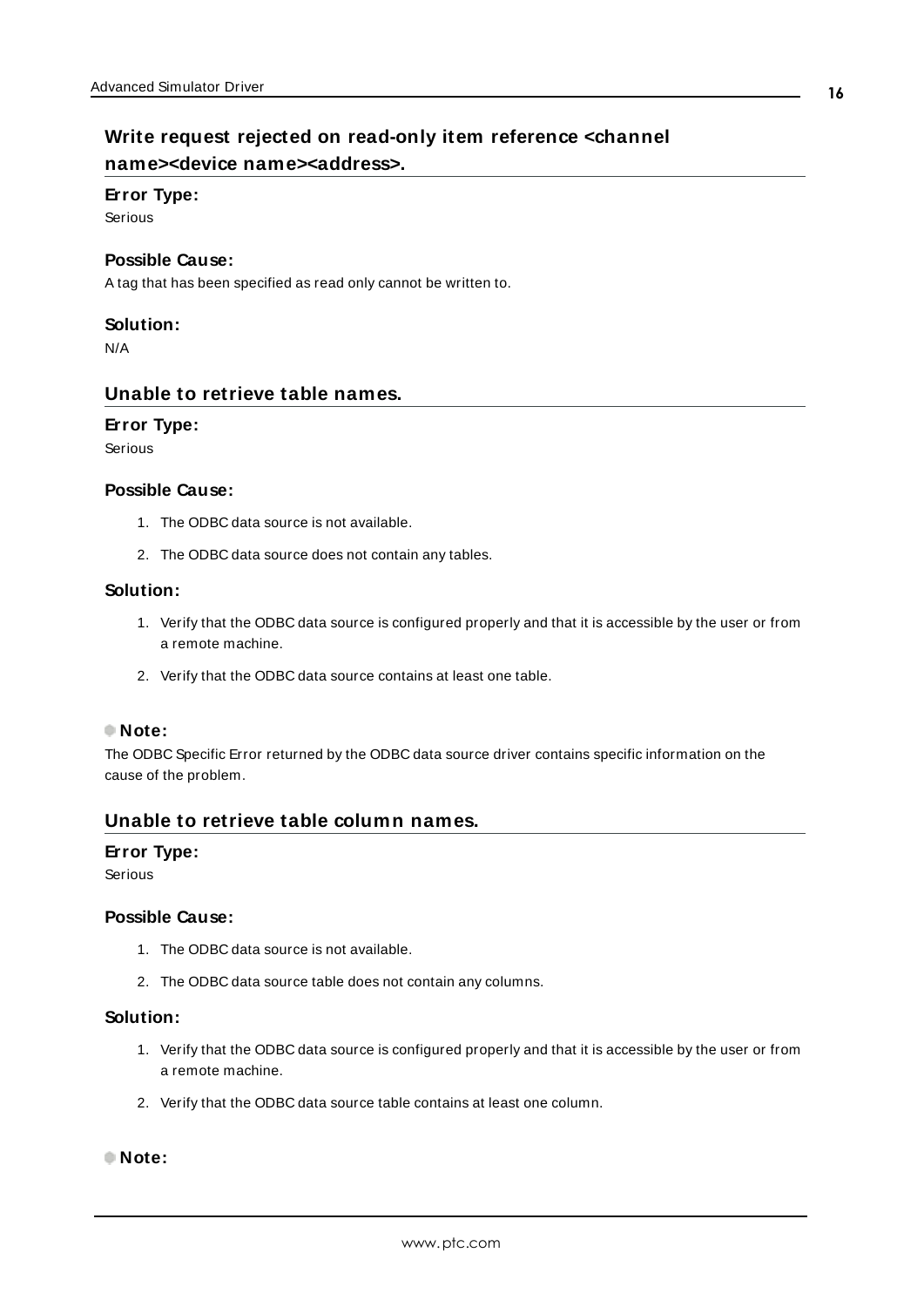# <span id="page-15-0"></span>**Write request rejected on read-only item reference <channel name><device name><address>.**

#### **Error Type:**

Serious

#### **Possible Cause:**

A tag that has been specified as read only cannot be written to.

#### **Solution:**

<span id="page-15-1"></span>N/A

#### **Unable to retrieve table names.**

#### **Error Type:**

Serious

#### **Possible Cause:**

- 1. The ODBC data source is not available.
- 2. The ODBC data source does not contain any tables.

#### **Solution:**

- 1. Verify that the ODBC data source is configured properly and that it is accessible by the user or from a remote machine.
- 2. Verify that the ODBC data source contains at least one table.

#### **Note:**

The ODBC Specific Error returned by the ODBC data source driver contains specific information on the cause of the problem.

#### <span id="page-15-2"></span>**Unable to retrieve table column names.**

#### **Error Type:**

Serious

#### **Possible Cause:**

- 1. The ODBC data source is not available.
- 2. The ODBC data source table does not contain any columns.

#### **Solution:**

- 1. Verify that the ODBC data source is configured properly and that it is accessible by the user or from a remote machine.
- 2. Verify that the ODBC data source table contains at least one column.

#### **Note:**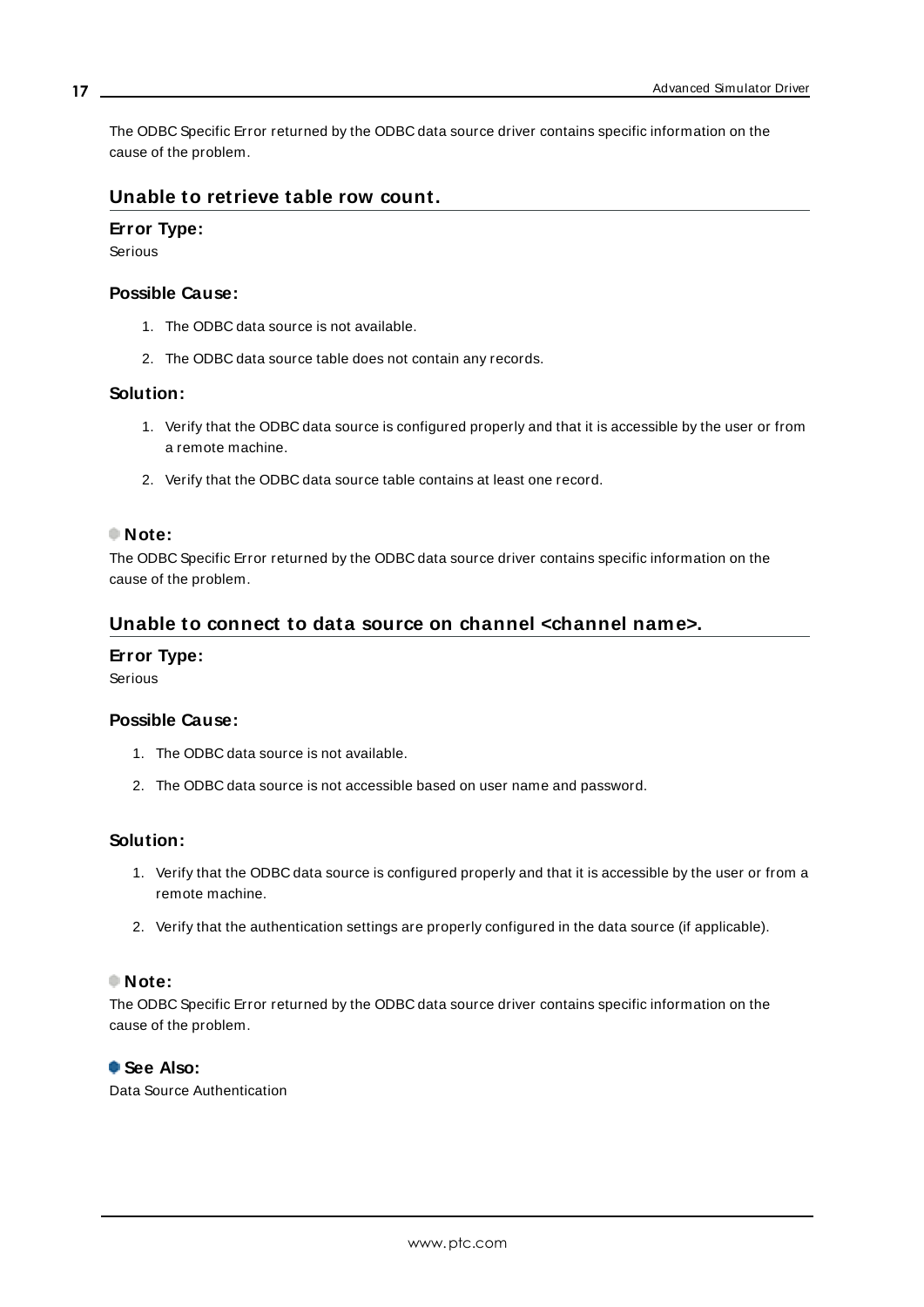The ODBC Specific Error returned by the ODBC data source driver contains specific information on the cause of the problem.

## <span id="page-16-0"></span>**Unable to retrieve table row count.**

#### **Error Type:**

Serious

#### **Possible Cause:**

- 1. The ODBC data source is not available.
- 2. The ODBC data source table does not contain any records.

### **Solution:**

- 1. Verify that the ODBC data source is configured properly and that it is accessible by the user or from a remote machine.
- 2. Verify that the ODBC data source table contains at least one record.

#### **Note:**

The ODBC Specific Error returned by the ODBC data source driver contains specific information on the cause of the problem.

## <span id="page-16-1"></span>**Unable to connect to data source on channel <channel name>.**

#### **Error Type:**

Serious

#### **Possible Cause:**

- 1. The ODBC data source is not available.
- 2. The ODBC data source is not accessible based on user name and password.

#### **Solution:**

- 1. Verify that the ODBC data source is configured properly and that it is accessible by the user or from a remote machine.
- 2. Verify that the authentication settings are properly configured in the data source (if applicable).

### **Note:**

The ODBC Specific Error returned by the ODBC data source driver contains specific information on the cause of the problem.

#### **See Also:**

Data Source Authentication

**17**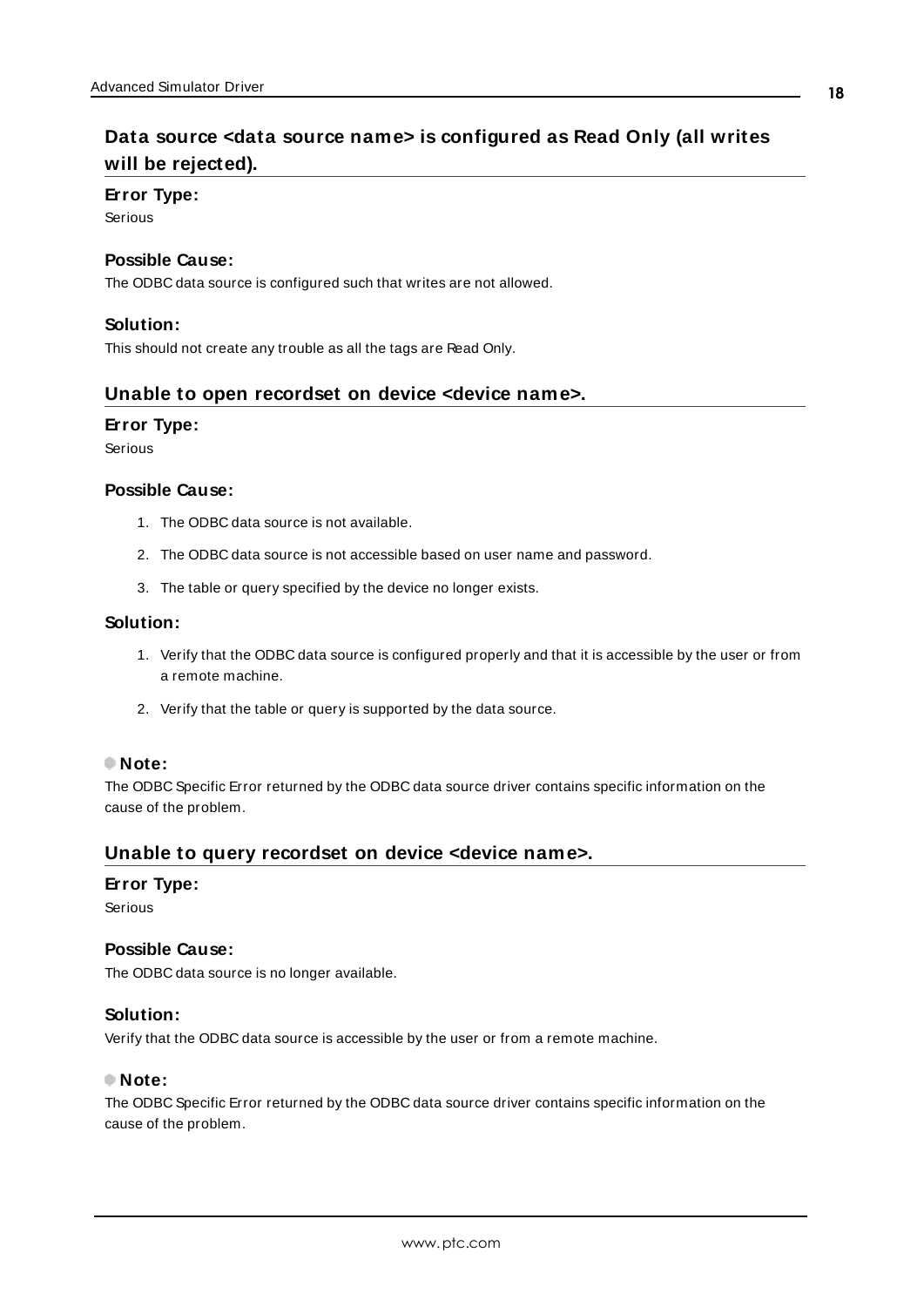# <span id="page-17-0"></span>**Data source <data source name> is configured as Read Only (all writes will be rejected).**

#### **Error Type:**

Serious

#### **Possible Cause:**

The ODBC data source is configured such that writes are not allowed.

#### **Solution:**

<span id="page-17-1"></span>This should not create any trouble as all the tags are Read Only.

#### **Unable to open recordset on device <device name>.**

#### **Error Type:**

Serious

#### **Possible Cause:**

- 1. The ODBC data source is not available.
- 2. The ODBC data source is not accessible based on user name and password.
- 3. The table or query specified by the device no longer exists.

#### **Solution:**

- 1. Verify that the ODBC data source is configured properly and that it is accessible by the user or from a remote machine.
- 2. Verify that the table or query is supported by the data source.

#### **Note:**

The ODBC Specific Error returned by the ODBC data source driver contains specific information on the cause of the problem.

## <span id="page-17-2"></span>**Unable to query recordset on device <device name>.**

#### **Error Type:**

Serious

#### **Possible Cause:**

The ODBC data source is no longer available.

#### **Solution:**

Verify that the ODBC data source is accessible by the user or from a remote machine.

#### **Note:**

The ODBC Specific Error returned by the ODBC data source driver contains specific information on the cause of the problem.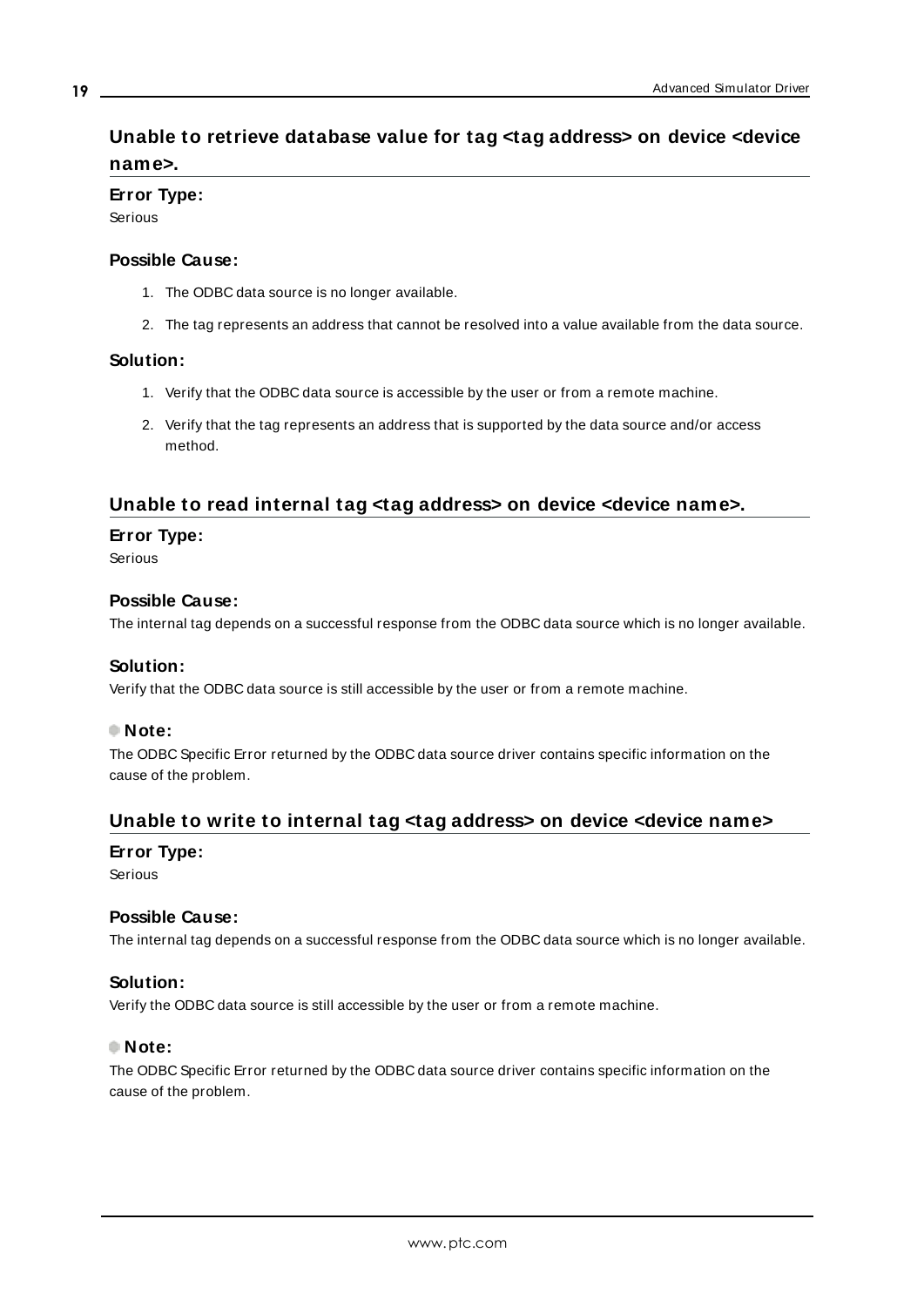# <span id="page-18-0"></span>**Unable to retrieve database value for tag <tag address> on device <device name>.**

## **Error Type:**

Serious

### **Possible Cause:**

- 1. The ODBC data source is no longer available.
- 2. The tag represents an address that cannot be resolved into a value available from the data source.

## **Solution:**

- 1. Verify that the ODBC data source is accessible by the user or from a remote machine.
- 2. Verify that the tag represents an address that is supported by the data source and/or access method.

## <span id="page-18-1"></span>**Unable to read internal tag <tag address> on device <device name>.**

## **Error Type:**

Serious

### **Possible Cause:**

The internal tag depends on a successful response from the ODBC data source which is no longer available.

## **Solution:**

Verify that the ODBC data source is still accessible by the user or from a remote machine.

## **Note:**

The ODBC Specific Error returned by the ODBC data source driver contains specific information on the cause of the problem.

## <span id="page-18-2"></span>**Unable to write to internal tag <tag address> on device <device name>**

#### **Error Type:**

Serious

#### **Possible Cause:**

The internal tag depends on a successful response from the ODBC data source which is no longer available.

#### **Solution:**

Verify the ODBC data source is still accessible by the user or from a remote machine.

### **Note:**

The ODBC Specific Error returned by the ODBC data source driver contains specific information on the cause of the problem.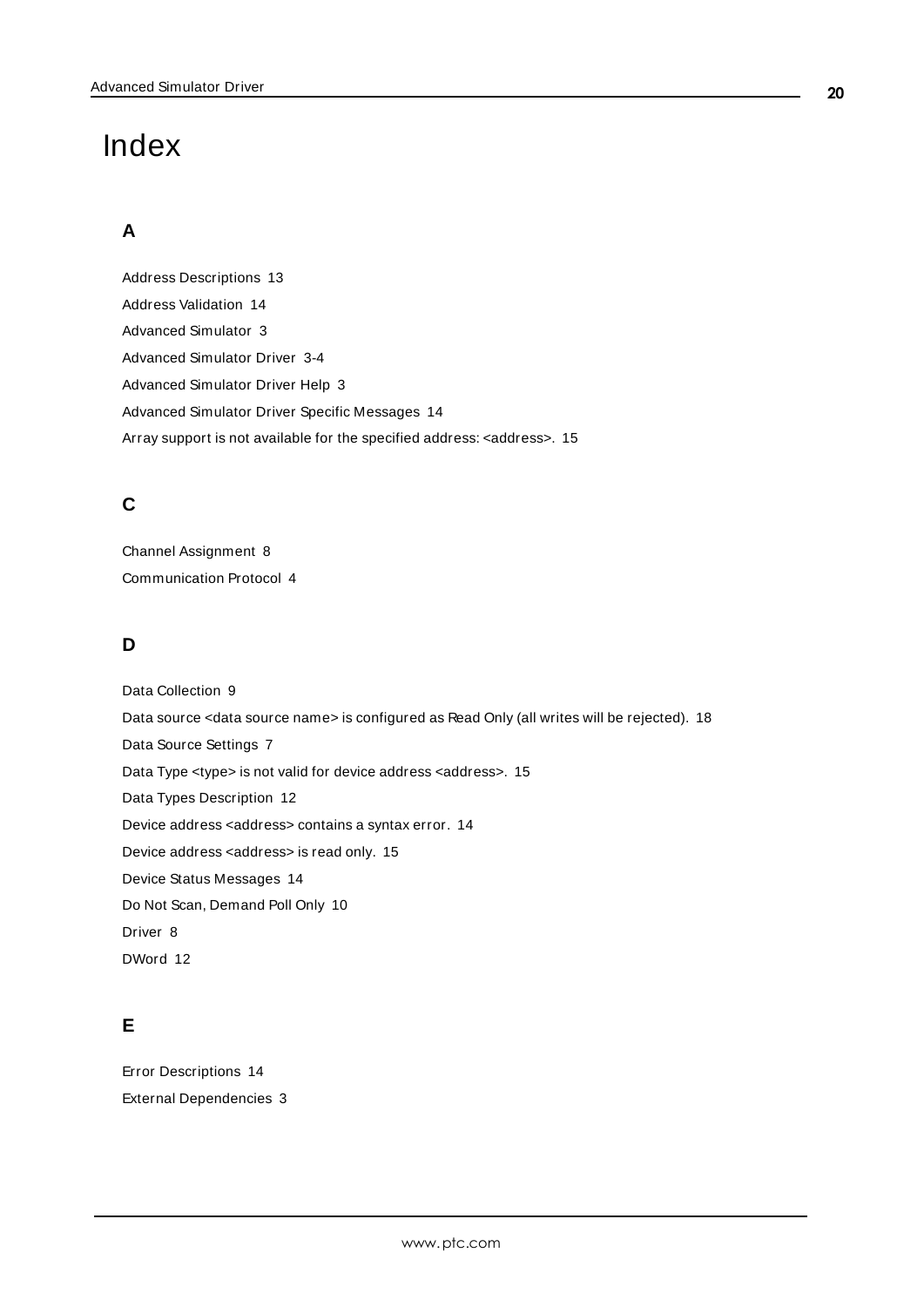# <span id="page-19-0"></span>Index

# **A**

Address Descriptions [13](#page-12-0) Address Validation [14](#page-13-3) Advanced Simulator [3](#page-2-0) Advanced Simulator Driver [3-4](#page-2-0) Advanced Simulator Driver Help [3](#page-2-0) Advanced Simulator Driver Specific Messages [14](#page-13-4) Array support is not available for the specified address: <address>. [15](#page-14-2)

# **C**

Channel Assignment [8](#page-7-1) Communication Protocol [4](#page-3-2)

# **D**

Data Collection [9](#page-8-2) Data source <data source name> is configured as Read Only (all writes will be rejected). [18](#page-17-0) Data Source Settings [7](#page-6-0) Data Type <type> is not valid for device address <address>. [15](#page-14-0) Data Types Description [12](#page-11-0) Device address <address> contains a syntax error. [14](#page-13-2) Device address <address> is read only. [15](#page-14-1) Device Status Messages [14](#page-13-5) Do Not Scan, Demand Poll Only [10](#page-9-2) Driver [8](#page-7-2) DWord [12](#page-11-1)

# **E**

Error Descriptions [14](#page-13-0) External Dependencies [3](#page-2-2)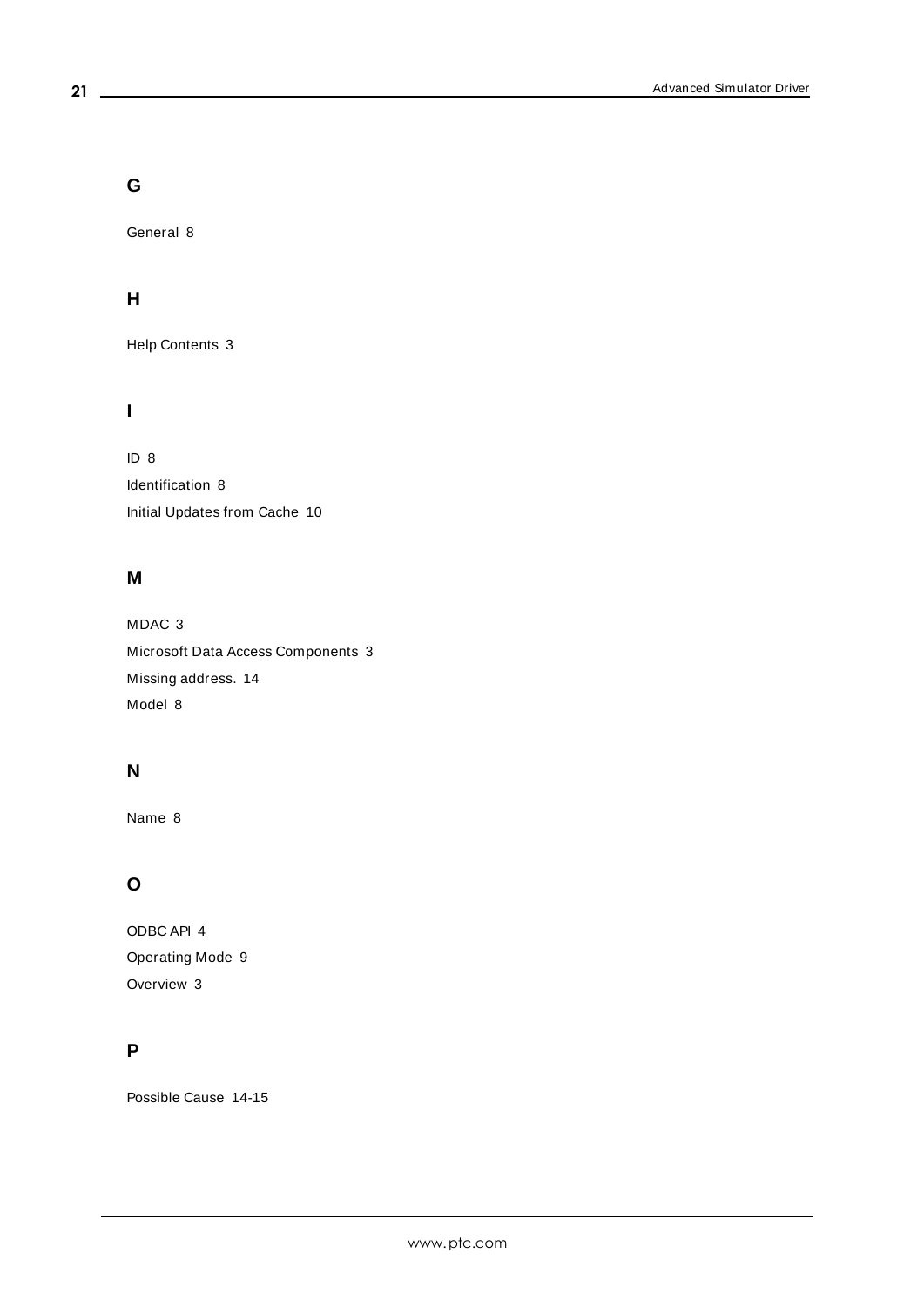**G**

General [8](#page-7-0)

# **H**

Help Contents [3](#page-2-0)

# **I**

ID [8](#page-7-3) Identification [8](#page-7-0) Initial Updates from Cache [10](#page-9-3)

## **M**

MDAC [3](#page-2-3) Microsoft Data Access Components [3](#page-2-3) Missing address. [14](#page-13-1) Model [8](#page-7-4)

# **N**

Name [8](#page-7-5)

# **O**

ODBC API [4](#page-3-3) Operating Mode [9](#page-8-0) Overview [3](#page-2-1)

# **P**

Possible Cause [14-15](#page-13-6)